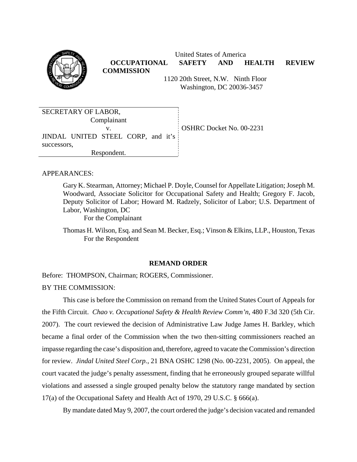

 United States of America **OCCUPATIONAL SAFETY AND HEALTH REVIEW COMMISSION**

 1120 20th Street, N.W. Ninth Floor Washington, DC 20036-3457

| SECRETARY OF LABOR,                |                          |
|------------------------------------|--------------------------|
|                                    |                          |
| Complainant                        |                          |
|                                    |                          |
|                                    | OSHRC Docket No. 00-2231 |
|                                    |                          |
| JINDAL UNITED STEEL CORP, and it's |                          |
|                                    |                          |
| successors.                        |                          |
| Respondent.                        |                          |
|                                    |                          |

## APPEARANCES:

Gary K. Stearman, Attorney; Michael P. Doyle, Counsel for Appellate Litigation; Joseph M. Woodward, Associate Solicitor for Occupational Safety and Health; Gregory F. Jacob, Deputy Solicitor of Labor; Howard M. Radzely, Solicitor of Labor; U.S. Department of Labor, Washington, DC

For the Complainant

Thomas H. Wilson, Esq. and Sean M. Becker, Esq.; Vinson & Elkins, LLP., Houston, Texas For the Respondent

### **REMAND ORDER**

Before: THOMPSON, Chairman; ROGERS, Commissioner. BY THE COMMISSION:

This case is before the Commission on remand from the United States Court of Appeals for the Fifth Circuit. *Chao v. Occupational Safety & Health Review Comm'n*, 480 F.3d 320 (5th Cir. 2007). The court reviewed the decision of Administrative Law Judge James H. Barkley, which became a final order of the Commission when the two then-sitting commissioners reached an impasse regarding the case's disposition and, therefore, agreed to vacate the Commission's direction for review. *Jindal United Steel Corp.*, 21 BNA OSHC 1298 (No. 00-2231, 2005). On appeal, the court vacated the judge's penalty assessment, finding that he erroneously grouped separate willful violations and assessed a single grouped penalty below the statutory range mandated by section 17(a) of the Occupational Safety and Health Act of 1970, 29 U.S.C. § 666(a).

By mandate dated May 9, 2007, the court ordered the judge's decision vacated and remanded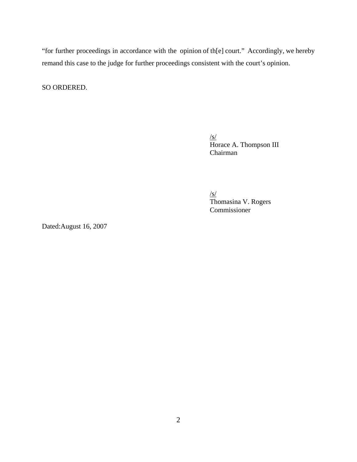"for further proceedings in accordance with the opinion of th[e] court." Accordingly, we hereby remand this case to the judge for further proceedings consistent with the court's opinion.

SO ORDERED.

/s/ Horace A. Thompson III Chairman

 Thomasina V. Rogers /s/ Commissioner

Dated:August 16, 2007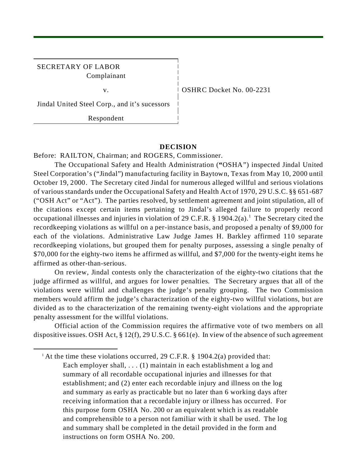## SECRETARY OF LABOR Complainant

v. 1 OSHRC Docket No. 00-2231

Jindal United Steel Corp., and it's sucessors

Respondent

## **DECISION**

Before: RAILTON, Chairman; and ROGERS, Commissioner.

The Occupational Safety and Health Administration (**"**OSHA") inspected Jindal United Steel Corporation's ("Jindal") manufacturing facility in Baytown, Texas from May 10, 2000 until October 19, 2000. The Secretary cited Jindal for numerous alleged willful and serious violations of various standards under the Occupational Safety and Health Act of 1970, 29 U.S.C. §§ 651-687 ("OSH Act" or "Act"). The parties resolved, by settlement agreement and joint stipulation, all of the citations except certain items pertaining to Jindal's alleged failure to properly record occupational illnesses and injuries in violation of 29 C.F.R.  $\S 1904.2(a)$ .<sup>1</sup> The Secretary cited the recordkeeping violations as willful on a per-instance basis, and proposed a penalty of \$9,000 for each of the violations. Administrative Law Judge James H. Barkley affirmed 110 separate recordkeeping violations, but grouped them for penalty purposes, assessing a single penalty of \$70,000 for the eighty-two items he affirmed as willful, and \$7,000 for the twenty-eight items he affirmed as other-than-serious.

On review, Jindal contests only the characterization of the eighty-two citations that the judge affirmed as willful, and argues for lower penalties. The Secretary argues that all of the violations were willful and challenges the judge's penalty grouping. The two Commission members would affirm the judge's characterization of the eighty-two willful violations, but are divided as to the characterization of the remaining twenty-eight violations and the appropriate penalty assessment for the willful violations.

Official action of the Commission requires the affirmative vote of two members on all dispositive issues. OSH Act, § 12(f), 29 U.S.C. § 661(e). In view of the absence of such agreement

<sup>&</sup>lt;sup>1</sup> At the time these violations occurred, 29 C.F.R. § 1904.2(a) provided that: Each employer shall, . . . (1) maintain in each establishment a log and summary of all recordable occupational injuries and illnesses for that establishment; and (2) enter each recordable injury and illness on the log and summary as early as practicable but no later than 6 working days after receiving information that a recordable injury or illness has occurred. For this purpose form OSHA No. 200 or an equivalent which is as readable and comprehensible to a person not familiar with it shall be used. The log and summary shall be completed in the detail provided in the form and instructions on form OSHA No. 200.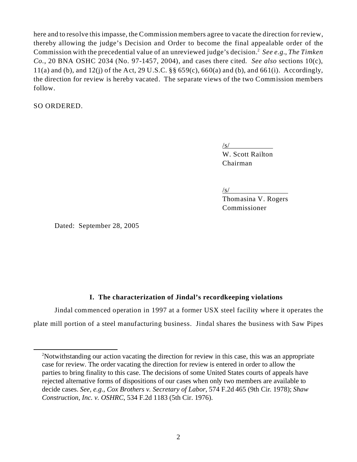Commission with the precedential value of an unreviewed judge's decision.<sup>2</sup> See e.g., *The Timken* here and to resolve this impasse, the Commission members agree to vacate the direction for review, thereby allowing the judge's Decision and Order to become the final appealable order of the *Co.*, 20 BNA OSHC 2034 (No. 97-1457, 2004), and cases there cited. *See also* sections 10(c), 11(a) and (b), and 12(j) of the Act, 29 U.S.C.  $\S$   $\S$  659(c), 660(a) and (b), and 661(i). Accordingly, the direction for review is hereby vacated. The separate views of the two Commission members follow.

SO ORDERED.

 $\sqrt{s/2}$ W. Scott Railton Chairman

 $\sqrt{s/2}$ 

Thomasina V. Rogers Commissioner

Dated: September 28, 2005

# **I. The characterization of Jindal's recordkeeping violations**

Jindal commenced operation in 1997 at a former USX steel facility where it operates the plate mill portion of a steel manufacturing business. Jindal shares the business with Saw Pipes

<sup>&</sup>lt;sup>2</sup>Notwithstanding our action vacating the direction for review in this case, this was an appropriate case for review. The order vacating the direction for review is entered in order to allow the parties to bring finality to this case. The decisions of some United States courts of appeals have rejected alternative forms of dispositions of our cases when only two members are available to decide cases. *See, e.g., Cox Brothers v. Secretary of Labor*, 574 F.2d 465 (9th Cir. 1978); *Shaw Construction, Inc. v. OSHRC*, 534 F.2d 1183 (5th Cir. 1976).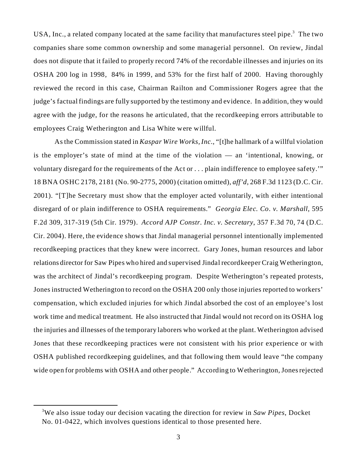USA, Inc., a related company located at the same facility that manufactures steel pipe.<sup>3</sup> The two companies share some common ownership and some managerial personnel. On review, Jindal does not dispute that it failed to properly record 74% of the recordable illnesses and injuries on its OSHA 200 log in 1998, 84% in 1999, and 53% for the first half of 2000. Having thoroughly reviewed the record in this case, Chairman Railton and Commissioner Rogers agree that the judge's factual findings are fully supported by the testimony and evidence. In addition, they would agree with the judge, for the reasons he articulated, that the recordkeeping errors attributable to employees Craig Wetherington and Lisa White were willful.

 disregard of or plain indifference to OSHA requirements." *Georgia Elec. Co. v. Marshall*, 595 As the Commission stated in *Kaspar Wire Works, Inc.*, "[t]he hallmark of a willful violation is the employer's state of mind at the time of the violation — an 'intentional, knowing, or voluntary disregard for the requirements of the Act or . . . plain indifference to employee safety.'" 18 BNA OSHC 2178, 2181 (No. 90-2775, 2000) (citation omitted), *aff'd*, 268 F.3d 1123 (D.C. Cir. 2001). "[T]he Secretary must show that the employer acted voluntarily, with either intentional F.2d 309, 317-319 (5th Cir. 1979). *Accord AJP Constr. Inc. v. Secretary*, 357 F.3d 70, 74 (D.C. Cir. 2004). Here, the evidence shows that Jindal managerial personnel intentionally implemented recordkeeping practices that they knew were incorrect. Gary Jones, human resources and labor relations director for Saw Pipes who hired and supervised Jindal recordkeeper Craig Wetherington, was the architect of Jindal's recordkeeping program. Despite Wetherington's repeated protests, Jones instructed Wetherington to record on the OSHA 200 only those injuries reported to workers' compensation, which excluded injuries for which Jindal absorbed the cost of an employee's lost work time and medical treatment. He also instructed that Jindal would not record on its OSHA log the injuries and illnesses of the temporary laborers who worked at the plant. Wetherington advised Jones that these recordkeeping practices were not consistent with his prior experience or with OSHA published recordkeeping guidelines, and that following them would leave "the company wide open for problems with OSHA and other people." According to Wetherington, Jones rejected

<sup>3</sup> We also issue today our decision vacating the direction for review in *Saw Pipes*, Docket No. 01-0422, which involves questions identical to those presented here.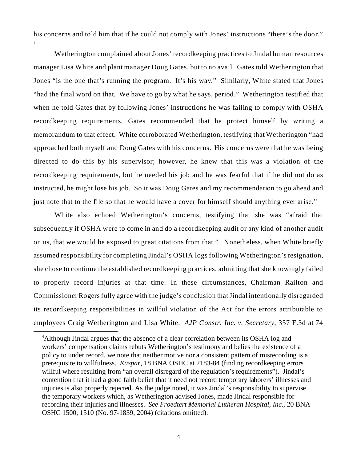his concerns and told him that if he could not comply with Jones' instructions "there's the door."

4

 "had the final word on that. We have to go by what he says, period." Wetherington testified that Wetherington complained about Jones' recordkeeping practices to Jindal human resources manager Lisa White and plant manager Doug Gates, but to no avail. Gates told Wetherington that Jones "is the one that's running the program. It's his way." Similarly, White stated that Jones when he told Gates that by following Jones' instructions he was failing to comply with OSHA recordkeeping requirements, Gates recommended that he protect himself by writing a memorandum to that effect. White corroborated Wetherington, testifying that Wetherington "had approached both myself and Doug Gates with his concerns. His concerns were that he was being directed to do this by his supervisor; however, he knew that this was a violation of the recordkeeping requirements, but he needed his job and he was fearful that if he did not do as instructed, he might lose his job. So it was Doug Gates and my recommendation to go ahead and just note that to the file so that he would have a cover for himself should anything ever arise."

White also echoed Wetherington's concerns, testifying that she was "afraid that subsequently if OSHA were to come in and do a recordkeeping audit or any kind of another audit on us, that we would be exposed to great citations from that." Nonetheless, when White briefly assumed responsibility for completing Jindal's OSHA logs following Wetherington's resignation, she chose to continue the established recordkeeping practices, admitting that she knowingly failed to properly record injuries at that time. In these circumstances, Chairman Railton and Commissioner Rogers fully agree with the judge's conclusion that Jindal intentionally disregarded its recordkeeping responsibilities in willful violation of the Act for the errors attributable to employees Craig Wetherington and Lisa White. *AJP Constr. Inc. v. Secretary*, 357 F.3d at 74

<sup>&</sup>lt;sup>4</sup>Although Jindal argues that the absence of a clear correlation between its OSHA log and workers' compensation claims rebuts Wetherington's testimony and belies the existence of a policy to under record, we note that neither motive nor a consistent pattern of misrecording is a prerequisite to willfulness. *Kaspar*, 18 BNA OSHC at 2183-84 (finding recordkeeping errors willful where resulting from "an overall disregard of the regulation's requirements"). Jindal's contention that it had a good faith belief that it need not record temporary laborers' illnesses and injuries is also properly rejected. As the judge noted, it was Jindal's responsibility to supervise the temporary workers which, as Wetherington advised Jones, made Jindal responsible for recording their injuries and illnesses. *See Froedtert Memorial Lutheran Hospital, Inc*., 20 BNA OSHC 1500, 1510 (No. 97-1839, 2004) (citations omitted).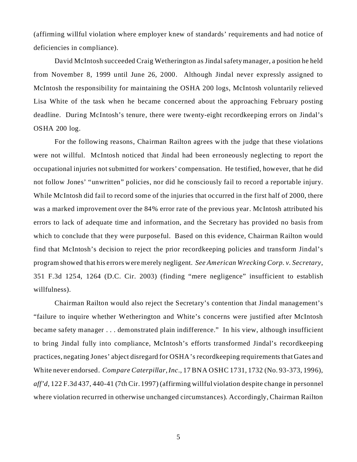(affirming willful violation where employer knew of standards' requirements and had notice of deficiencies in compliance).

David McIntosh succeeded Craig Wetherington as Jindal safety manager, a position he held from November 8, 1999 until June 26, 2000. Although Jindal never expressly assigned to McIntosh the responsibility for maintaining the OSHA 200 logs, McIntosh voluntarily relieved Lisa White of the task when he became concerned about the approaching February posting deadline. During McIntosh's tenure, there were twenty-eight recordkeeping errors on Jindal's OSHA 200 log.

For the following reasons, Chairman Railton agrees with the judge that these violations were not willful. McIntosh noticed that Jindal had been erroneously neglecting to report the occupational injuries not submitted for workers' compensation. He testified, however, that he did not follow Jones' "unwritten" policies, nor did he consciously fail to record a reportable injury. While McIntosh did fail to record some of the injuries that occurred in the first half of 2000, there was a marked improvement over the 84% error rate of the previous year. McIntosh attributed his errors to lack of adequate time and information, and the Secretary has provided no basis from which to conclude that they were purposeful. Based on this evidence, Chairman Railton would find that McIntosh's decision to reject the prior recordkeeping policies and transform Jindal's program showed that his errors were merely negligent. *See American Wrecking Corp. v. Secretary*, 351 F.3d 1254, 1264 (D.C. Cir. 2003) (finding "mere negligence" insufficient to establish willfulness).

Chairman Railton would also reject the Secretary's contention that Jindal management's "failure to inquire whether Wetherington and White's concerns were justified after McIntosh became safety manager . . . demonstrated plain indifference." In his view, although insufficient to bring Jindal fully into compliance, McIntosh's efforts transformed Jindal's recordkeeping practices, negating Jones' abject disregard for OSHA's recordkeeping requirements that Gates and White never endorsed. *Compare Caterpillar, Inc*., 17 BNA OSHC 1731, 1732 (No. 93-373, 1996), *aff'd*, 122 F.3d 437, 440-41 (7th Cir. 1997) (affirming willful violation despite change in personnel where violation recurred in otherwise unchanged circumstances). Accordingly, Chairman Railton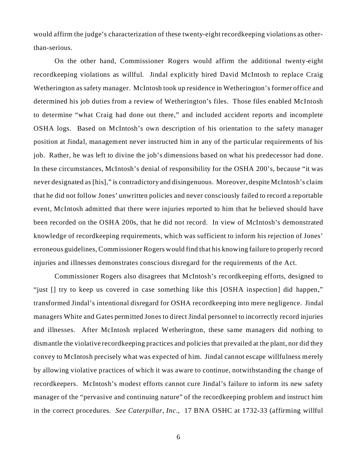would affirm the judge's characterization of these twenty-eight recordkeeping violations as otherthan-serious.

On the other hand, Commissioner Rogers would affirm the additional twenty-eight recordkeeping violations as willful. Jindal explicitly hired David McIntosh to replace Craig Wetherington as safety manager. McIntosh took up residence in Wetherington's former office and determined his job duties from a review of Wetherington's files. Those files enabled McIntosh to determine "what Craig had done out there," and included accident reports and incomplete OSHA logs. Based on McIntosh's own description of his orientation to the safety manager position at Jindal, management never instructed him in any of the particular requirements of his job. Rather, he was left to divine the job's dimensions based on what his predecessor had done. In these circumstances, McIntosh's denial of responsibility for the OSHA 200's, because "it was never designated as [his]," is contradictory and disingenuous. Moreover, despite McIntosh's claim that he did not follow Jones' unwritten policies and never consciously failed to record a reportable event, McIntosh admitted that there were injuries reported to him that he believed should have been recorded on the OSHA 200s, that he did not record. In view of McIntosh's demonstrated knowledge of recordkeeping requirements, which was sufficient to inform his rejection of Jones' erroneous guidelines, Commissioner Rogers would find that his knowing failure to properly record injuries and illnesses demonstrates conscious disregard for the requirements of the Act.

Commissioner Rogers also disagrees that McIntosh's recordkeeping efforts, designed to "just  $\Box$  try to keep us covered in case something like this [OSHA inspection] did happen," transformed Jindal's intentional disregard for OSHA recordkeeping into mere negligence. Jindal managers White and Gates permitted Jones to direct Jindal personnel to incorrectly record injuries and illnesses. After McIntosh replaced Wetherington, these same managers did nothing to dismantle the violative recordkeeping practices and policies that prevailed at the plant, nor did they convey to McIntosh precisely what was expected of him. Jindal cannot escape willfulness merely by allowing violative practices of which it was aware to continue, notwithstanding the change of recordkeepers. McIntosh's modest efforts cannot cure Jindal's failure to inform its new safety manager of the "pervasive and continuing nature" of the recordkeeping problem and instruct him in the correct procedures. *See Caterpillar, Inc*., 17 BNA OSHC at 1732-33 (affirming willful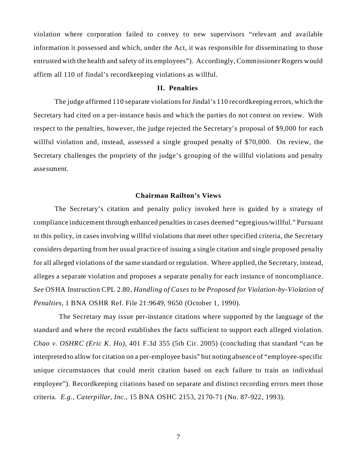violation where corporation failed to convey to new supervisors "relevant and available information it possessed and which, under the Act, it was responsible for disseminating to those entrusted with the health and safety of its employees"). Accordingly, Commissioner Rogers would affirm all 110 of Jindal's recordkeeping violations as willful.

## **II. Penalties**

The judge affirmed 110 separate violations for Jindal's 110 recordkeeping errors, which the Secretary had cited on a per-instance basis and which the parties do not contest on review. With respect to the penalties, however, the judge rejected the Secretary's proposal of \$9,000 for each willful violation and, instead, assessed a single grouped penalty of \$70,000. On review, the Secretary challenges the propriety of the judge's grouping of the willful violations and penalty assessment.

### **Chairman Railton's Views**

The Secretary's citation and penalty policy invoked here is guided by a strategy of compliance inducement through enhanced penalties in cases deemed "egregious/willful." Pursuant to this policy, in cases involving willful violations that meet other specified criteria, the Secretary considers departing from her usual practice of issuing a single citation and single proposed penalty for all alleged violations of the same standard or regulation. Where applied, the Secretary, instead, alleges a separate violation and proposes a separate penalty for each instance of noncompliance. *See* OSHA Instruction CPL 2.80, *Handling of Cases to be Proposed for Violation-by-Violation of Penalties,* 1 BNA OSHR Ref. File 21:9649, 9650 (October 1, 1990).

 The Secretary may issue per-instance citations where supported by the language of the standard and where the record establishes the facts sufficient to support each alleged violation. *Chao v. OSHRC (Eric K. Ho)*, 401 F.3d 355 (5th Cir. 2005) (concluding that standard "can be interpreted to allow for citation on a per-employee basis" but noting absence of "employee-specific unique circumstances that could merit citation based on each failure to train an individual employee"). Recordkeeping citations based on separate and distinct recording errors meet those criteria. *E.g., Caterpillar, Inc.,* 15 BNA OSHC 2153, 2170-71 (No. 87-922, 1993).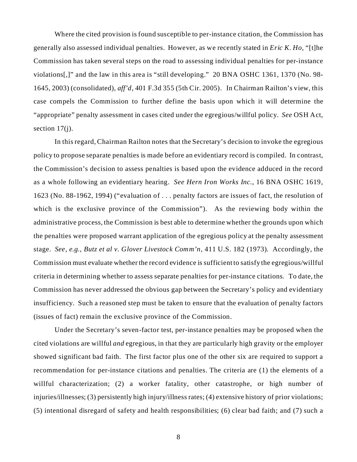"appropriate" penalty assessment in cases cited under the egregious/willful policy. *See* OSH Act, Where the cited provision is found susceptible to per-instance citation, the Commission has generally also assessed individual penalties. However, as we recently stated in *Eric K. Ho*, "[t]he Commission has taken several steps on the road to assessing individual penalties for per-instance violations[,]" and the law in this area is "still developing." 20 BNA OSHC 1361, 1370 (No. 98 1645, 2003) (consolidated), *aff'd,* 401 F.3d 355 (5th Cir. 2005). In Chairman Railton's view, this case compels the Commission to further define the basis upon which it will determine the section 17(j).

 stage. *See, e.g., Butz et al v. Glover Livestock Comm'n*, 411 U.S. 182 (1973). Accordingly, the In this regard, Chairman Railton notes that the Secretary's decision to invoke the egregious policy to propose separate penalties is made before an evidentiary record is compiled. In contrast, the Commission's decision to assess penalties is based upon the evidence adduced in the record as a whole following an evidentiary hearing. *See Hern Iron Works Inc.*, 16 BNA OSHC 1619, 1623 (No. 88-1962, 1994) ("evaluation of . . . penalty factors are issues of fact, the resolution of which is the exclusive province of the Commission"). As the reviewing body within the administrative process, the Commission is best able to determine whether the grounds upon which the penalties were proposed warrant application of the egregious policy at the penalty assessment Commission must evaluate whether the record evidence is sufficient to satisfy the egregious/willful criteria in determining whether to assess separate penalties for per-instance citations. To date, the Commission has never addressed the obvious gap between the Secretary's policy and evidentiary insufficiency. Such a reasoned step must be taken to ensure that the evaluation of penalty factors (issues of fact) remain the exclusive province of the Commission.

Under the Secretary's seven-factor test, per-instance penalties may be proposed when the cited violations are willful *and* egregious, in that they are particularly high gravity or the employer showed significant bad faith. The first factor plus one of the other six are required to support a recommendation for per-instance citations and penalties. The criteria are (1) the elements of a willful characterization; (2) a worker fatality, other catastrophe, or high number of injuries/illnesses; (3) persistently high injury/illness rates; (4) extensive history of prior violations; (5) intentional disregard of safety and health responsibilities; (6) clear bad faith; and (7) such a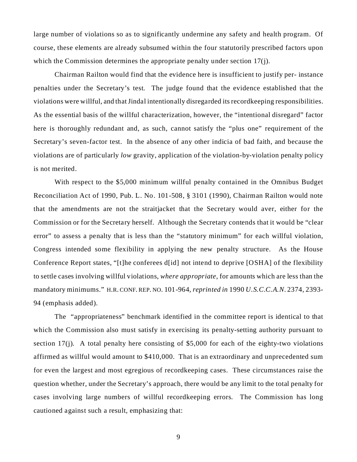large number of violations so as to significantly undermine any safety and health program. Of course, these elements are already subsumed within the four statutorily prescribed factors upon which the Commission determines the appropriate penalty under section 17(j).

Chairman Railton would find that the evidence here is insufficient to justify per- instance penalties under the Secretary's test. The judge found that the evidence established that the violations were willful, and that Jindal intentionally disregarded its recordkeeping responsibilities. As the essential basis of the willful characterization, however, the "intentional disregard" factor here is thoroughly redundant and, as such, cannot satisfy the "plus one" requirement of the Secretary's seven-factor test. In the absence of any other indicia of bad faith, and because the violations are of particularly *low* gravity, application of the violation-by-violation penalty policy is not merited.

With respect to the \$5,000 minimum willful penalty contained in the Omnibus Budget Reconciliation Act of 1990, Pub. L. No. 101-508, § 3101 (1990), Chairman Railton would note that the amendments are not the straitjacket that the Secretary would aver, either for the Commission or for the Secretary herself. Although the Secretary contends that it would be "clear error" to assess a penalty that is less than the "statutory minimum" for each willful violation, Congress intended some flexibility in applying the new penalty structure. As the House Conference Report states, "[t]he conferees d[id] not intend to deprive [OSHA] of the flexibility to settle cases involving willful violations, *where appropriate*, for amounts which are less than the mandatory minimums." H.R. CONF. REP. NO. 101-964, *reprinted in* 1990 *U.S.C.C.A.N.* 2374, 2393 94 (emphasis added).

The "appropriateness" benchmark identified in the committee report is identical to that which the Commission also must satisfy in exercising its penalty-setting authority pursuant to section 17(j). A total penalty here consisting of \$5,000 for each of the eighty-two violations affirmed as willful would amount to \$410,000. That is an extraordinary and unprecedented sum for even the largest and most egregious of recordkeeping cases. These circumstances raise the question whether, under the Secretary's approach, there would be any limit to the total penalty for cases involving large numbers of willful recordkeeping errors. The Commission has long cautioned against such a result, emphasizing that:

9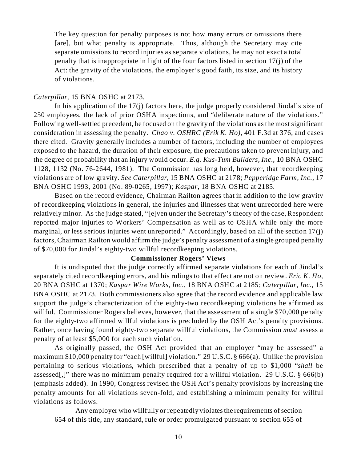The key question for penalty purposes is not how many errors or omissions there [are], but what penalty is appropriate. Thus, although the Secretary may cite separate omissions to record injuries as separate violations, he may not exact a total penalty that is inappropriate in light of the four factors listed in section 17(j) of the Act: the gravity of the violations, the employer's good faith, its size, and its history of violations.

## *Caterpillar,* 15 BNA OSHC at 2173.

In his application of the 17(j) factors here, the judge properly considered Jindal's size of 250 employees, the lack of prior OSHA inspections, and "deliberate nature of the violations." Following well-settled precedent, he focused on the gravity of the violations as the most significant consideration in assessing the penalty. *Chao v. OSHRC (Erik K. Ho)*, 401 F.3d at 376, and cases there cited. Gravity generally includes a number of factors, including the number of employees exposed to the hazard, the duration of their exposure, the precautions taken to prevent injury, and the degree of probability that an injury would occur. *E.g*. *Kus-Tum Builders, Inc.*, 10 BNA OSHC 1128, 1132 (No. 76-2644, 1981). The Commission has long held, however, that recordkeeping violations are of low gravity. *See Caterpillar*, 15 BNA OSHC at 2178; *Pepperidge Farm, Inc*., 17 BNA OSHC 1993, 2001 (No. 89-0265, 1997); *Kaspar*, 18 BNA OSHC at 2185.

Based on the record evidence, Chairman Railton agrees that in addition to the low gravity of recordkeeping violations in general, the injuries and illnesses that went unrecorded here were relatively minor. As the judge stated, "[e]ven under the Secretary's theory of the case, Respondent reported major injuries to Workers' Compensation as well as to OSHA while only the more marginal, or less serious injuries went unreported." Accordingly, based on all of the section 17(j) factors, Chairman Railton would affirm the judge's penalty assessment of a single grouped penalty of \$70,000 for Jindal's eighty-two willful recordkeeping violations.

## **Commissioner Rogers' Views**

It is undisputed that the judge correctly affirmed separate violations for each of Jindal's separately cited recordkeeping errors, and his rulings to that effect are not on review. *Eric K. Ho*, 20 BNA OSHC at 1370; *Kaspar Wire Works, Inc.,* 18 BNA OSHC at 2185; *Caterpillar, Inc.,* 15 BNA OSHC at 2173. Both commissioners also agree that the record evidence and applicable law support the judge's characterization of the eighty-two recordkeeping violations he affirmed as willful. Commissioner Rogers believes, however, that the assessment of a single \$70,000 penalty for the eighty-two affirmed willful violations is precluded by the OSH Act's penalty provisions. Rather, once having found eighty-two separate willful violations, the Commission *must* assess a penalty of at least \$5,000 for each such violation.

As originally passed, the OSH Act provided that an employer "may be assessed" a maximum \$10,000 penalty for "each [willful] violation." 29 U.S.C. § 666(a). Unlike the provision pertaining to serious violations, which prescribed that a penalty of up to \$1,000 "*shall* be assessed[,]" there was no minimum penalty required for a willful violation. 29 U.S.C. § 666(b) (emphasis added). In 1990, Congress revised the OSH Act's penalty provisions by increasing the penalty amounts for all violations seven-fold, and establishing a minimum penalty for willful violations as follows.

Any employer who willfully or repeatedly violates the requirements of section 654 of this title, any standard, rule or order promulgated pursuant to section 655 of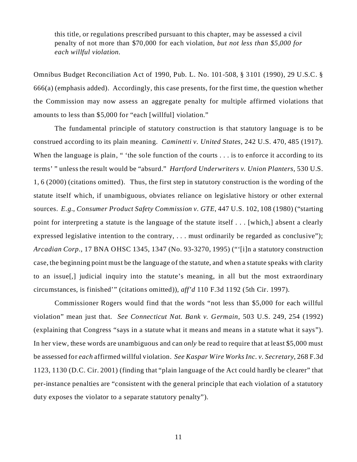this title, or regulations prescribed pursuant to this chapter, may be assessed a civil penalty of not more than \$70,000 for each violation, *but not less than \$5,000 for each willful violation.* 

Omnibus Budget Reconciliation Act of 1990, Pub. L. No. 101-508, § 3101 (1990), 29 U.S.C. § 666(a) (emphasis added). Accordingly, this case presents, for the first time, the question whether the Commission may now assess an aggregate penalty for multiple affirmed violations that amounts to less than \$5,000 for "each [willful] violation."

The fundamental principle of statutory construction is that statutory language is to be construed according to its plain meaning. *Caminetti v. United States*, 242 U.S. 470, 485 (1917). When the language is plain, " 'the sole function of the courts . . . is to enforce it according to its terms' " unless the result would be "absurd." *Hartford Underwriters v. Union Planters*, 530 U.S. 1, 6 (2000) (citations omitted). Thus, the first step in statutory construction is the wording of the statute itself which, if unambiguous, obviates reliance on legislative history or other external sources. *E.g., Consumer Product Safety Commission v. GTE*, 447 U.S. 102, 108 (1980) ("starting point for interpreting a statute is the language of the statute itself . . . [which,] absent a clearly expressed legislative intention to the contrary, ... must ordinarily be regarded as conclusive"); *Arcadian Corp.*, 17 BNA OHSC 1345, 1347 (No. 93-3270, 1995) ("'[i]n a statutory construction case, the beginning point must be the language of the statute, and when a statute speaks with clarity to an issue[,] judicial inquiry into the statute's meaning, in all but the most extraordinary circumstances, is finished'" (citations omitted)), *aff'd* 110 F.3d 1192 (5th Cir. 1997).

Commissioner Rogers would find that the words "not less than \$5,000 for each willful violation" mean just that. *See Connecticut Nat. Bank v. Germain*, 503 U.S. 249, 254 (1992) (explaining that Congress "says in a statute what it means and means in a statute what it says"). In her view, these words are unambiguous and can *only* be read to require that at least \$5,000 must be assessed for *each* affirmed willful violation. *See Kaspar Wire Works Inc. v. Secretary*, 268 F.3d 1123, 1130 (D.C. Cir. 2001) (finding that "plain language of the Act could hardly be clearer" that per-instance penalties are "consistent with the general principle that each violation of a statutory duty exposes the violator to a separate statutory penalty").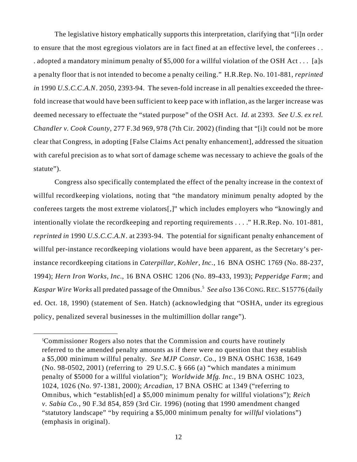deemed necessary to effectuate the "stated purpose" of the OSH Act. *Id.* at 2393. *See U.S. ex rel.*  The legislative history emphatically supports this interpretation, clarifying that "[i]n order to ensure that the most egregious violators are in fact fined at an effective level, the conferees . . . adopted a mandatory minimum penalty of \$5,000 for a willful violation of the OSH Act . . . [a]s a penalty floor that is not intended to become a penalty ceiling." H.R.Rep. No. 101-881, *reprinted in* 1990 *U.S.C.C.A.N*. 2050, 2393-94. The seven-fold increase in all penalties exceeded the threefold increase that would have been sufficient to keep pace with inflation, as the larger increase was *Chandler v. Cook County*, 277 F.3d 969, 978 (7th Cir. 2002) (finding that "[i]t could not be more clear that Congress, in adopting [False Claims Act penalty enhancement], addressed the situation with careful precision as to what sort of damage scheme was necessary to achieve the goals of the statute").

 *Kaspar Wire Works* all predated passage of the Omnibus.<sup>5</sup>*See also* 136 CONG. REC. S15776 (daily Congress also specifically contemplated the effect of the penalty increase in the context of willful recordkeeping violations, noting that "the mandatory minimum penalty adopted by the conferees targets the most extreme violators[,]" which includes employers who "knowingly and intentionally violate the recordkeeping and reporting requirements . . . ." H.R.Rep. No. 101-881, *reprinted in* 1990 *U.S.C.C.A.N*. at 2393-94. The potential for significant penalty enhancement of willful per-instance recordkeeping violations would have been apparent, as the Secretary's perinstance recordkeeping citations in *Caterpillar, Kohler, Inc.,* 16 BNA OSHC 1769 (No. 88-237, 1994); *Hern Iron Works, Inc.*, 16 BNA OSHC 1206 (No. 89-433, 1993); *Pepperidge Farm*; and ed. Oct. 18, 1990) (statement of Sen. Hatch) (acknowledging that "OSHA, under its egregious policy, penalized several businesses in the multimillion dollar range").

<sup>5</sup> Commissioner Rogers also notes that the Commission and courts have routinely referred to the amended penalty amounts as if there were no question that they establish a \$5,000 minimum willful penalty. *See MJP Constr. Co*., 19 BNA OSHC 1638, 1649 (No. 98-0502, 2001) (referring to 29 U.S.C. § 666 (a) "which mandates a minimum penalty of \$5000 for a willful violation"); *Worldwide Mfg. Inc.,* 19 BNA OSHC 1023, 1024, 1026 (No. 97-1381, 2000); *Arcadian*, 17 BNA OSHC at 1349 ("referring to Omnibus, which "establish[ed] a \$5,000 minimum penalty for willful violations"); *Reich v. Sabia Co.*, 90 F.3d 854, 859 (3rd Cir. 1996) (noting that 1990 amendment changed "statutory landscape" "by requiring a \$5,000 minimum penalty for *willful* violations") (emphasis in original).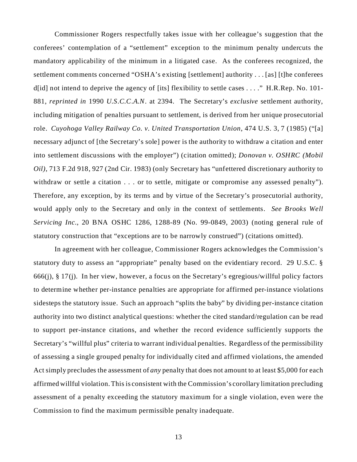role. *Cuyohoga Valley Railway Co. v. United Transportation Union*, 474 U.S. 3, 7 (1985) ("[a] Commissioner Rogers respectfully takes issue with her colleague's suggestion that the conferees' contemplation of a "settlement" exception to the minimum penalty undercuts the mandatory applicability of the minimum in a litigated case. As the conferees recognized, the settlement comments concerned "OSHA's existing [settlement] authority . . . [as] [t]he conferees d[id] not intend to deprive the agency of [its] flexibility to settle cases  $\dots$ ." H.R.Rep. No. 101-881, *reprinted in* 1990 *U.S.C.C.A.N*. at 2394. The Secretary's *exclusive* settlement authority, including mitigation of penalties pursuant to settlement, is derived from her unique prosecutorial necessary adjunct of [the Secretary's sole] power is the authority to withdraw a citation and enter into settlement discussions with the employer") (citation omitted); *Donovan v. OSHRC (Mobil Oil)*, 713 F.2d 918, 927 (2nd Cir. 1983) (only Secretary has "unfettered discretionary authority to withdraw or settle a citation . . . or to settle, mitigate or compromise any assessed penalty"). Therefore, any exception, by its terms and by virtue of the Secretary's prosecutorial authority, would apply only to the Secretary and only in the context of settlements. *See Brooks Well Servicing Inc.*, 20 BNA OSHC 1286, 1288-89 (No. 99-0849, 2003) (noting general rule of statutory construction that "exceptions are to be narrowly construed") (citations omitted).

In agreement with her colleague, Commissioner Rogers acknowledges the Commission's statutory duty to assess an "appropriate" penalty based on the evidentiary record. 29 U.S.C. § 666(j),  $\S 17$ (j). In her view, however, a focus on the Secretary's egregious/willful policy factors to determine whether per-instance penalties are appropriate for affirmed per-instance violations sidesteps the statutory issue. Such an approach "splits the baby" by dividing per-instance citation authority into two distinct analytical questions: whether the cited standard/regulation can be read to support per-instance citations, and whether the record evidence sufficiently supports the Secretary's "willful plus" criteria to warrant individual penalties. Regardless of the permissibility of assessing a single grouped penalty for individually cited and affirmed violations, the amended Act simply precludes the assessment of *any* penalty that does not amount to at least \$5,000 for each affirmed willful violation. This is consistent with the Commission's corollary limitation precluding assessment of a penalty exceeding the statutory maximum for a single violation, even were the Commission to find the maximum permissible penalty inadequate.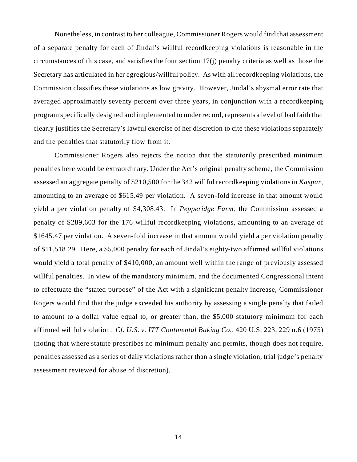Nonetheless, in contrast to her colleague, Commissioner Rogers would find that assessment of a separate penalty for each of Jindal's willful recordkeeping violations is reasonable in the circumstances of this case, and satisfies the four section 17(j) penalty criteria as well as those the Secretary has articulated in her egregious/willful policy. As with all recordkeeping violations, the Commission classifies these violations as low gravity. However, Jindal's abysmal error rate that averaged approximately seventy percent over three years, in conjunction with a recordkeeping program specifically designed and implemented to under record, represents a level of bad faith that clearly justifies the Secretary's lawful exercise of her discretion to cite these violations separately and the penalties that statutorily flow from it.

assessment reviewed for abuse of discretion). Commissioner Rogers also rejects the notion that the statutorily prescribed minimum penalties here would be extraordinary. Under the Act's original penalty scheme, the Commission assessed an aggregate penalty of \$210,500 for the 342 willful recordkeeping violations in *Kaspar*, amounting to an average of \$615.49 per violation. A seven-fold increase in that amount would yield a per violation penalty of \$4,308.43. In *Pepperidge Farm*, the Commission assessed a penalty of \$289,603 for the 176 willful recordkeeping violations, amounting to an average of \$1645.47 per violation. A seven-fold increase in that amount would yield a per violation penalty of \$11,518.29. Here, a \$5,000 penalty for each of Jindal's eighty-two affirmed willful violations would yield a total penalty of \$410,000, an amount well within the range of previously assessed willful penalties. In view of the mandatory minimum, and the documented Congressional intent to effectuate the "stated purpose" of the Act with a significant penalty increase, Commissioner Rogers would find that the judge exceeded his authority by assessing a single penalty that failed to amount to a dollar value equal to, or greater than, the \$5,000 statutory minimum for each affirmed willful violation. *Cf. U.S. v. ITT Continental Baking Co.*, 420 U.S. 223, 229 n.6 (1975) (noting that where statute prescribes no minimum penalty and permits, though does not require, penalties assessed as a series of daily violations rather than a single violation, trial judge's penalty assessment reviewed for abuse of discretion).<br>
14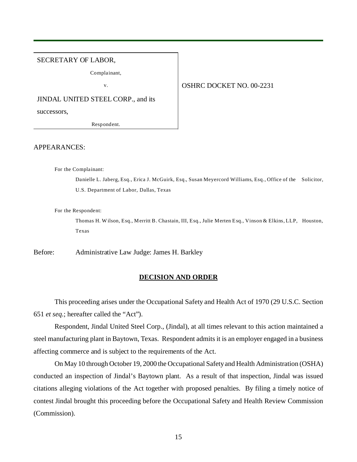#### SECRETARY OF LABOR,

Complainant,

#### v. 00-2231

JINDAL UNITED STEEL CORP., and its

successors,

Respondent.

#### APPEARANCES:

For the Complainant:

Danielle L. Jaberg, Esq., Erica J. McGuirk, Esq., Susan Meyercord Williams, Esq., Office of the Solicitor, U.S. Department of Labor, Dallas, Texas

For the Respondent:

Thomas H. Wilson, Esq., Merritt B. Chastain, III, Esq., Julie Merten Esq., Vinson & Elkins, LLP, Houston, Texas

Before: Administrative Law Judge: James H. Barkley

#### **DECISION AND ORDER**

This proceeding arises under the Occupational Safety and Health Act of 1970 (29 U.S.C. Section 651 *et seq.*; hereafter called the "Act").

Respondent, Jindal United Steel Corp., (Jindal), at all times relevant to this action maintained a steel manufacturing plant in Baytown, Texas. Respondent admits it is an employer engaged in a business affecting commerce and is subject to the requirements of the Act.

On May 10 through October 19, 2000 the Occupational Safety and Health Administration (OSHA) conducted an inspection of Jindal's Baytown plant. As a result of that inspection, Jindal was issued citations alleging violations of the Act together with proposed penalties. By filing a timely notice of contest Jindal brought this proceeding before the Occupational Safety and Health Review Commission (Commission).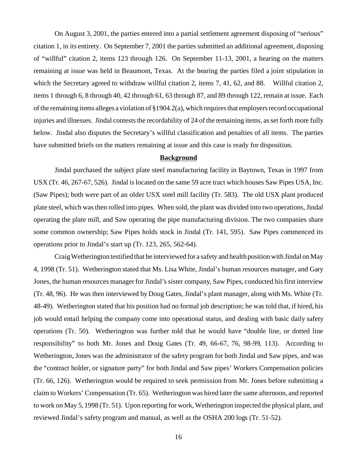which the Secretary agreed to withdraw willful citation 2, items 7, 41, 62, and 88. Willful citation 2, On August 3, 2001, the parties entered into a partial settlement agreement disposing of "serious" citation 1, in its entirety. On September 7, 2001 the parties submitted an additional agreement, disposing of "willful" citation 2, items 123 through 126. On September 11-13, 2001, a hearing on the matters remaining at issue was held in Beaumont, Texas. At the hearing the parties filed a joint stipulation in items 1 through 6, 8 through 40, 42 through 61, 63 through 87, and 89 through 122, remain at issue. Each of the remaining items alleges a violation of §1904.2(a), which requires that employers record occupational injuries and illnesses. Jindal contests the recordability of 24 of the remaining items, as set forth more fully below. Jindal also disputes the Secretary's willful classification and penalties of all items. The parties have submitted briefs on the matters remaining at issue and this case is ready for disposition.

### **Background**

Jindal purchased the subject plate steel manufacturing facility in Baytown, Texas in 1997 from USX (Tr. 46, 267-67, 526). Jindal is located on the same 59 acre tract which houses Saw Pipes USA, Inc. (Saw Pipes); both were part of an older USX steel mill facility (Tr. 583). The old USX plant produced plate steel, which was then rolled into pipes. When sold, the plant was divided into two operations, Jindal operating the plate mill, and Saw operating the pipe manufacturing division. The two companies share some common ownership; Saw Pipes holds stock in Jindal (Tr. 141, 595). Saw Pipes commenced its operations prior to Jindal's start up (Tr. 123, 265, 562-64).

Craig Wetherington testified that he interviewed for a safety and health position with Jindal on May 4, 1998 (Tr. 51). Wetherington stated that Ms. Lisa White, Jindal's human resources manager, and Gary Jones, the human resources manager for Jindal's sister company, Saw Pipes, conducted his first interview (Tr. 48, 96). He was then interviewed by Doug Gates, Jindal's plant manager, along with Ms. White (Tr. 48-49). Wetherington stated that his position had no formal job description; he was told that, if hired, his job would entail helping the company come into operational status, and dealing with basic daily safety operations (Tr. 50). Wetherington was further told that he would have "double line, or dotted line responsibility" to both Mr. Jones and Doug Gates (Tr. 49, 66-67, 76, 98-99, 113). According to Wetherington, Jones was the administrator of the safety program for both Jindal and Saw pipes, and was the "contract holder, or signature party" for both Jindal and Saw pipes' Workers Compensation policies (Tr. 66, 126). Wetherington would be required to seek permission from Mr. Jones before submitting a claim to Workers' Compensation (Tr. 65). Wetherington was hired later the same afternoon, and reported to work on May 5, 1998 (Tr. 51). Upon reporting for work, Wetherington inspected the physical plant, and reviewed Jindal's safety program and manual, as well as the OSHA 200 logs (Tr. 51-52).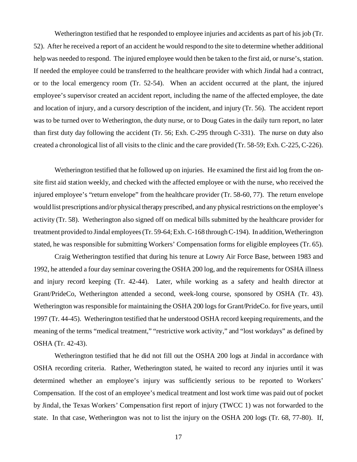Wetherington testified that he responded to employee injuries and accidents as part of his job (Tr. 52). After he received a report of an accident he would respond to the site to determine whether additional help was needed to respond. The injured employee would then be taken to the first aid, or nurse's, station. If needed the employee could be transferred to the healthcare provider with which Jindal had a contract, or to the local emergency room (Tr. 52-54). When an accident occurred at the plant, the injured employee's supervisor created an accident report, including the name of the affected employee, the date and location of injury, and a cursory description of the incident, and injury (Tr. 56). The accident report was to be turned over to Wetherington, the duty nurse, or to Doug Gates in the daily turn report, no later than first duty day following the accident (Tr. 56; Exh. C-295 through C-331). The nurse on duty also created a chronological list of all visits to the clinic and the care provided (Tr. 58-59; Exh. C-225, C-226).

Wetherington testified that he followed up on injuries. He examined the first aid log from the onsite first aid station weekly, and checked with the affected employee or with the nurse, who received the injured employee's "return envelope" from the healthcare provider (Tr. 58-60, 77). The return envelope would list prescriptions and/or physical therapy prescribed, and any physical restrictions on the employee's activity (Tr. 58). Wetherington also signed off on medical bills submitted by the healthcare provider for treatment provided to Jindal employees (Tr. 59-64; Exh. C-168 through C-194). In addition, Wetherington stated, he was responsible for submitting Workers' Compensation forms for eligible employees (Tr. 65).

Craig Wetherington testified that during his tenure at Lowry Air Force Base, between 1983 and 1992, he attended a four day seminar covering the OSHA 200 log, and the requirements for OSHA illness and injury record keeping (Tr. 42-44). Later, while working as a safety and health director at Grant/PrideCo, Wetherington attended a second, week-long course, sponsored by OSHA (Tr. 43). Wetherington was responsible for maintaining the OSHA 200 logs for Grant/PrideCo. for five years, until 1997 (Tr. 44-45). Wetherington testified that he understood OSHA record keeping requirements, and the meaning of the terms "medical treatment," "restrictive work activity," and "lost workdays" as defined by OSHA (Tr. 42-43).

Wetherington testified that he did not fill out the OSHA 200 logs at Jindal in accordance with OSHA recording criteria. Rather, Wetherington stated, he waited to record any injuries until it was determined whether an employee's injury was sufficiently serious to be reported to Workers' Compensation. If the cost of an employee's medical treatment and lost work time was paid out of pocket by Jindal, the Texas Workers' Compensation first report of injury (TWCC 1) was not forwarded to the state. In that case, Wetherington was not to list the injury on the OSHA 200 logs (Tr. 68, 77-80). If,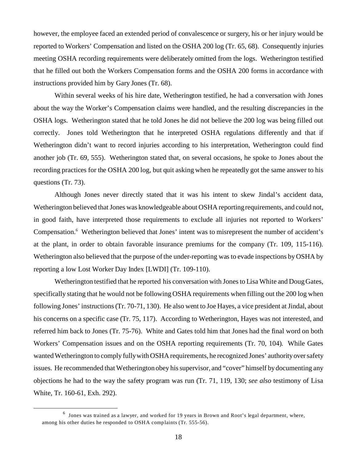however, the employee faced an extended period of convalescence or surgery, his or her injury would be reported to Workers' Compensation and listed on the OSHA 200 log (Tr. 65, 68). Consequently injuries meeting OSHA recording requirements were deliberately omitted from the logs. Wetherington testified that he filled out both the Workers Compensation forms and the OSHA 200 forms in accordance with instructions provided him by Gary Jones (Tr. 68).

Within several weeks of his hire date, Wetherington testified, he had a conversation with Jones about the way the Worker's Compensation claims were handled, and the resulting discrepancies in the OSHA logs. Wetherington stated that he told Jones he did not believe the 200 log was being filled out correctly. Jones told Wetherington that he interpreted OSHA regulations differently and that if Wetherington didn't want to record injuries according to his interpretation, Wetherington could find another job (Tr. 69, 555). Wetherington stated that, on several occasions, he spoke to Jones about the recording practices for the OSHA 200 log, but quit asking when he repeatedly got the same answer to his questions (Tr. 73).

Although Jones never directly stated that it was his intent to skew Jindal's accident data, Wetherington believed that Jones was knowledgeable about OSHA reporting requirements, and could not, in good faith, have interpreted those requirements to exclude all injuries not reported to Workers' Compensation.<sup>6</sup> Wetherington believed that Jones' intent was to misrepresent the number of accident's at the plant, in order to obtain favorable insurance premiums for the company (Tr. 109, 115-116). Wetherington also believed that the purpose of the under-reporting was to evade inspections by OSHA by reporting a low Lost Worker Day Index [LWDI] (Tr. 109-110).

Wetherington testified that he reported his conversation with Jones to Lisa White and Doug Gates, specifically stating that he would not be following OSHA requirements when filling out the 200 log when following Jones' instructions (Tr. 70-71, 130). He also went to Joe Hayes, a vice president at Jindal, about his concerns on a specific case (Tr. 75, 117). According to Wetherington, Hayes was not interested, and referred him back to Jones (Tr. 75-76). White and Gates told him that Jones had the final word on both Workers' Compensation issues and on the OSHA reporting requirements (Tr. 70, 104). While Gates wanted Wetherington to comply fully with OSHA requirements, he recognized Jones' authorityover safety issues. He recommended that Wetherington obey his supervisor, and "cover" himself by documenting any objections he had to the way the safety program was run (Tr. 71, 119, 130; *see also* testimony of Lisa White, Tr. 160-61, Exh. 292).

 $^6$  Jones was trained as a lawyer, and worked for 19 years in Brown and Root's legal department, where, among his other duties he responded to OSHA complaints (Tr. 555-56).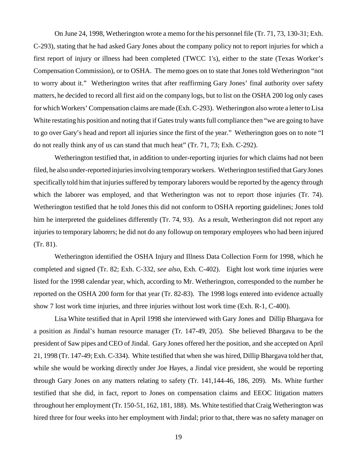On June 24, 1998, Wetherington wrote a memo for the his personnel file (Tr. 71, 73, 130-31; Exh. C-293), stating that he had asked Gary Jones about the company policy not to report injuries for which a first report of injury or illness had been completed (TWCC 1's), either to the state (Texas Worker's Compensation Commission), or to OSHA. The memo goes on to state that Jones told Wetherington "not to worry about it." Wetherington writes that after reaffirming Gary Jones' final authority over safety matters, he decided to record all first aid on the company logs, but to list on the OSHA 200 log only cases for which Workers' Compensation claims are made (Exh. C-293). Wetherington also wrote a letter to Lisa White restating his position and noting that if Gates truly wants full compliance then "we are going to have to go over Gary's head and report all injuries since the first of the year." Wetherington goes on to note "I do not really think any of us can stand that much heat" (Tr. 71, 73; Exh. C-292).

Wetherington testified that, in addition to under-reporting injuries for which claims had not been filed, he also under-reported injuries involving temporary workers. Wetherington testified that Gary Jones specifically told him that injuries suffered by temporary laborers would be reported by the agency through which the laborer was employed, and that Wetherington was not to report those injuries (Tr. 74). Wetherington testified that he told Jones this did not conform to OSHA reporting guidelines; Jones told him he interpreted the guidelines differently (Tr. 74, 93). As a result, Wetherington did not report any injuries to temporary laborers; he did not do any followup on temporary employees who had been injured (Tr. 81).

Wetherington identified the OSHA Injury and Illness Data Collection Form for 1998, which he completed and signed (Tr. 82; Exh. C-332, *see also*, Exh. C-402). Eight lost work time injuries were listed for the 1998 calendar year, which, according to Mr. Wetherington, corresponded to the number he reported on the OSHA 200 form for that year (Tr. 82-83). The 1998 logs entered into evidence actually show 7 lost work time injuries, and three injuries without lost work time (Exh. R-1, C-400).

Lisa White testified that in April 1998 she interviewed with Gary Jones and Dillip Bhargava for a position as Jindal's human resource manager (Tr. 147-49, 205). She believed Bhargava to be the president of Saw pipes and CEO of Jindal. Gary Jones offered her the position, and she accepted on April 21, 1998 (Tr. 147-49; Exh. C-334). White testified that when she was hired, Dillip Bhargava told her that, while she would be working directly under Joe Hayes, a Jindal vice president, she would be reporting through Gary Jones on any matters relating to safety (Tr. 141,144-46, 186, 209). Ms. White further testified that she did, in fact, report to Jones on compensation claims and EEOC litigation matters throughout her employment (Tr. 150-51, 162, 181, 188). Ms. White testified that Craig Wetherington was hired three for four weeks into her employment with Jindal; prior to that, there was no safety manager on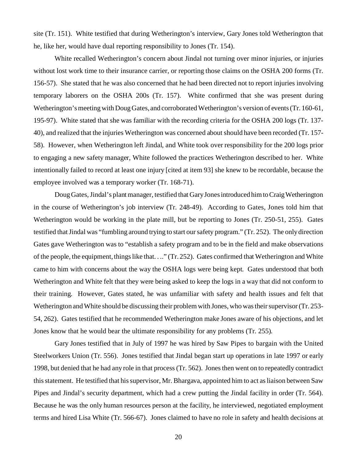site (Tr. 151). White testified that during Wetherington's interview, Gary Jones told Wetherington that he, like her, would have dual reporting responsibility to Jones (Tr. 154).

White recalled Wetherington's concern about Jindal not turning over minor injuries, or injuries without lost work time to their insurance carrier, or reporting those claims on the OSHA 200 forms (Tr. 156-57). She stated that he was also concerned that he had been directed not to report injuries involving temporary laborers on the OSHA 200s (Tr. 157). White confirmed that she was present during Wetherington's meeting with Doug Gates, and corroborated Wetherington's version of events (Tr. 160-61, 195-97). White stated that she was familiar with the recording criteria for the OSHA 200 logs (Tr. 137 40), and realized that the injuries Wetherington was concerned about should have been recorded (Tr. 157 58). However, when Wetherington left Jindal, and White took over responsibility for the 200 logs prior to engaging a new safety manager, White followed the practices Wetherington described to her. White intentionally failed to record at least one injury [cited at item 93] she knew to be recordable, because the employee involved was a temporary worker (Tr. 168-71).

Doug Gates, Jindal's plant manager, testified that Gary Jones introduced him to Craig Wetherington in the course of Wetherington's job interview (Tr. 248-49). According to Gates, Jones told him that Wetherington would be working in the plate mill, but be reporting to Jones (Tr. 250-51, 255). Gates testified that Jindal was "fumbling around trying to start our safety program." (Tr. 252). The only direction Gates gave Wetherington was to "establish a safety program and to be in the field and make observations of the people, the equipment, things like that. . .." (Tr. 252). Gates confirmed that Wetherington and White came to him with concerns about the way the OSHA logs were being kept. Gates understood that both Wetherington and White felt that they were being asked to keep the logs in a way that did not conform to their training. However, Gates stated, he was unfamiliar with safety and health issues and felt that Wetherington and White should be discussing their problem with Jones, who was their supervisor (Tr. 253 54, 262). Gates testified that he recommended Wetherington make Jones aware of his objections, and let Jones know that he would bear the ultimate responsibility for any problems (Tr. 255).

Gary Jones testified that in July of 1997 he was hired by Saw Pipes to bargain with the United Steelworkers Union (Tr. 556). Jones testified that Jindal began start up operations in late 1997 or early 1998, but denied that he had any role in that process (Tr. 562). Jones then went on to repeatedly contradict this statement. He testified that his supervisor, Mr. Bhargava, appointed him to act as liaison between Saw Pipes and Jindal's security department, which had a crew putting the Jindal facility in order (Tr. 564). Because he was the only human resources person at the facility, he interviewed, negotiated employment terms and hired Lisa White (Tr. 566-67). Jones claimed to have no role in safety and health decisions at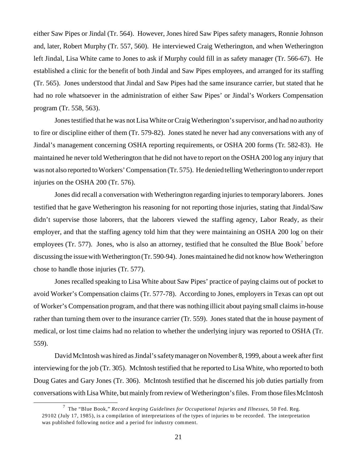either Saw Pipes or Jindal (Tr. 564). However, Jones hired Saw Pipes safety managers, Ronnie Johnson and, later, Robert Murphy (Tr. 557, 560). He interviewed Craig Wetherington, and when Wetherington left Jindal, Lisa White came to Jones to ask if Murphy could fill in as safety manager (Tr. 566-67). He established a clinic for the benefit of both Jindal and Saw Pipes employees, and arranged for its staffing (Tr. 565). Jones understood that Jindal and Saw Pipes had the same insurance carrier, but stated that he had no role whatsoever in the administration of either Saw Pipes' or Jindal's Workers Compensation program (Tr. 558, 563).

Jones testified that he was not Lisa White or Craig Wetherington's supervisor, and had no authority to fire or discipline either of them (Tr. 579-82). Jones stated he never had any conversations with any of Jindal's management concerning OSHA reporting requirements, or OSHA 200 forms (Tr. 582-83). He maintained he never told Wetherington that he did not have to report on the OSHA 200 log any injury that was not also reported to Workers' Compensation (Tr. 575). He denied telling Wetherington to under report injuries on the OSHA 200 (Tr. 576).

Jones did recall a conversation with Wetherington regarding injuries to temporary laborers. Jones testified that he gave Wetherington his reasoning for not reporting those injuries, stating that Jindal/Saw didn't supervise those laborers, that the laborers viewed the staffing agency, Labor Ready, as their employer, and that the staffing agency told him that they were maintaining an OSHA 200 log on their employees (Tr. 577). Jones, who is also an attorney, testified that he consulted the Blue Book<sup>7</sup> before discussing the issue with Wetherington (Tr. 590-94). Jones maintained he did not know how Wetherington chose to handle those injuries (Tr. 577).

Jones recalled speaking to Lisa White about Saw Pipes' practice of paying claims out of pocket to avoid Worker's Compensation claims (Tr. 577-78). According to Jones, employers in Texas can opt out of Worker's Compensation program, and that there was nothing illicit about paying small claims in-house rather than turning them over to the insurance carrier (Tr. 559). Jones stated that the in house payment of medical, or lost time claims had no relation to whether the underlying injury was reported to OSHA (Tr. 559).

David McIntosh was hired as Jindal's safety manager on November 8, 1999, about a week after first interviewing for the job (Tr. 305). McIntosh testified that he reported to Lisa White, who reported to both Doug Gates and Gary Jones (Tr. 306). McIntosh testified that he discerned his job duties partially from conversations with Lisa White, but mainly from review of Wetherington's files. From those files McIntosh

<sup>7</sup> The "Blue Book," *Record keeping Guidelines for Occupational Injuries and Illnesses*, 50 Fed. Reg. 29102 (July 17, 1985), is a compilation of interpretations of the types of injuries to be recorded. The interpretation was published following notice and a period for industry comment.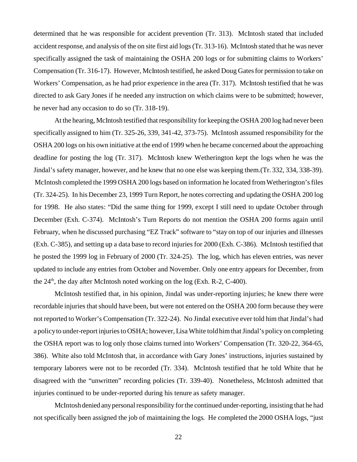determined that he was responsible for accident prevention (Tr. 313). McIntosh stated that included accident response, and analysis of the on site first aid logs (Tr. 313-16). McIntosh stated that he was never specifically assigned the task of maintaining the OSHA 200 logs or for submitting claims to Workers' Compensation (Tr. 316-17). However, McIntosh testified, he asked Doug Gates for permission to take on Workers' Compensation, as he had prior experience in the area (Tr. 317). McIntosh testified that he was directed to ask Gary Jones if he needed any instruction on which claims were to be submitted; however, he never had any occasion to do so (Tr. 318-19).

At the hearing, McIntosh testified that responsibility for keeping the OSHA 200 log had never been specifically assigned to him (Tr. 325-26, 339, 341-42, 373-75). McIntosh assumed responsibility for the OSHA 200 logs on his own initiative at the end of 1999 when he became concerned about the approaching deadline for posting the log (Tr. 317). McIntosh knew Wetherington kept the logs when he was the Jindal's safety manager, however, and he knew that no one else was keeping them.(Tr. 332, 334, 338-39). McIntosh completed the 1999 OSHA 200 logs based on information he located from Wetherington's files (Tr. 324-25). In his December 23, 1999 Turn Report, he notes correcting and updating the OSHA 200 log for 1998. He also states: "Did the same thing for 1999, except I still need to update October through December (Exh. C-374). McIntosh's Turn Reports do not mention the OSHA 200 forms again until February, when he discussed purchasing "EZ Track" software to "stay on top of our injuries and illnesses (Exh. C-385), and setting up a data base to record injuries for 2000 (Exh. C-386). McIntosh testified that he posted the 1999 log in February of 2000 (Tr. 324-25). The log, which has eleven entries, was never updated to include any entries from October and November. Only one entry appears for December, from the  $24<sup>th</sup>$ , the day after McIntosh noted working on the log (Exh. R-2, C-400).

McIntosh testified that, in his opinion, Jindal was under-reporting injuries; he knew there were recordable injuries that should have been, but were not entered on the OSHA 200 form because they were not reported to Worker's Compensation (Tr. 322-24). No Jindal executive ever told him that Jindal's had a policy to under-report injuries to OSHA; however, Lisa White told him that Jindal's policy on completing the OSHA report was to log only those claims turned into Workers' Compensation (Tr. 320-22, 364-65, 386). White also told McIntosh that, in accordance with Gary Jones' instructions, injuries sustained by temporary laborers were not to be recorded (Tr. 334). McIntosh testified that he told White that he disagreed with the "unwritten" recording policies (Tr. 339-40). Nonetheless, McIntosh admitted that injuries continued to be under-reported during his tenure as safety manager.

McIntosh denied anypersonal responsibility for the continued under-reporting, insisting that he had not specifically been assigned the job of maintaining the logs. He completed the 2000 OSHA logs, "just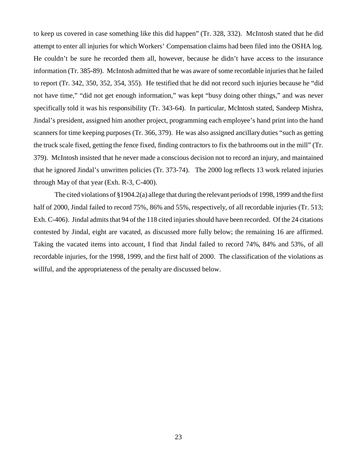to keep us covered in case something like this did happen" (Tr. 328, 332). McIntosh stated that he did attempt to enter all injuries for which Workers' Compensation claims had been filed into the OSHA log. He couldn't be sure he recorded them all, however, because he didn't have access to the insurance information (Tr. 385-89). McIntosh admitted that he was aware of some recordable injuries that he failed to report (Tr. 342, 350, 352, 354, 355). He testified that he did not record such injuries because he "did not have time," "did not get enough information," was kept "busy doing other things," and was never specifically told it was his responsibility (Tr. 343-64). In particular, McIntosh stated, Sandeep Mishra, Jindal's president, assigned him another project, programming each employee's hand print into the hand scanners for time keeping purposes (Tr. 366, 379). He was also assigned ancillary duties "such as getting the truck scale fixed, getting the fence fixed, finding contractors to fix the bathrooms out in the mill" (Tr. 379). McIntosh insisted that he never made a conscious decision not to record an injury, and maintained that he ignored Jindal's unwritten policies (Tr. 373-74). The 2000 log reflects 13 work related injuries through May of that year (Exh. R-3, C-400).

The cited violations of §1904.2(a) allege that during the relevant periods of 1998, 1999 and the first half of 2000, Jindal failed to record 75%, 86% and 55%, respectively, of all recordable injuries (Tr. 513; Exh. C-406). Jindal admits that 94 of the 118 cited injuries should have been recorded. Of the 24 citations contested by Jindal, eight are vacated, as discussed more fully below; the remaining 16 are affirmed. Taking the vacated items into account, I find that Jindal failed to record 74%, 84% and 53%, of all recordable injuries, for the 1998, 1999, and the first half of 2000. The classification of the violations as willful, and the appropriateness of the penalty are discussed below.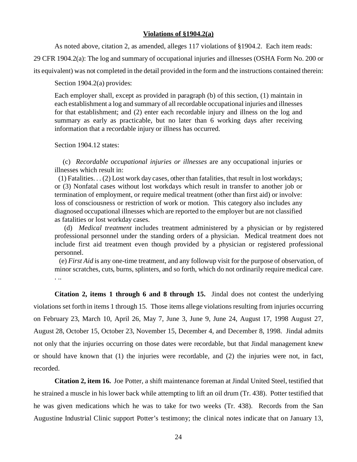#### **Violations of §1904.2(a)**

As noted above, citation 2, as amended, alleges 117 violations of §1904.2. Each item reads:

29 CFR 1904.2(a): The log and summary of occupational injuries and illnesses (OSHA Form No. 200 or

its equivalent) was not completed in the detail provided in the form and the instructions contained therein:

Section 1904.2(a) provides:

Each employer shall, except as provided in paragraph (b) of this section, (1) maintain in each establishment a log and summary of all recordable occupational injuries and illnesses for that establishment; and (2) enter each recordable injury and illness on the log and summary as early as practicable, but no later than 6 working days after receiving information that a recordable injury or illness has occurred.

Section 1904.12 states:

 (c) *Recordable occupational injuries or illnesses* are any occupational injuries or illnesses which result in:

 (1) Fatalities. . . (2) Lost work day cases, other than fatalities, that result in lost workdays; or (3) Nonfatal cases without lost workdays which result in transfer to another job or termination of employment, or require medical treatment (other than first aid) or involve: loss of consciousness or restriction of work or motion. This category also includes any diagnosed occupational illnesses which are reported to the employer but are not classified as fatalities or lost workday cases.

(d) *Medical treatment* includes treatment administered by a physician or by registered professional personnel under the standing orders of a physician. Medical treatment does not include first aid treatment even though provided by a physician or registered professional personnel.

 (e) *First Aid* is any one-time treatment, and any followup visit for the purpose of observation, of minor scratches, cuts, burns, splinters, and so forth, which do not ordinarily require medical care. . ..

**Citation 2, items 1 through 6 and 8 through 15.** Jindal does not contest the underlying violations set forth in items 1 through 15. Those items allege violations resulting from injuries occurring on February 23, March 10, April 26, May 7, June 3, June 9, June 24, August 17, 1998 August 27, August 28, October 15, October 23, November 15, December 4, and December 8, 1998. Jindal admits not only that the injuries occurring on those dates were recordable, but that Jindal management knew or should have known that (1) the injuries were recordable, and (2) the injuries were not, in fact, recorded.

**Citation 2, item 16.** Joe Potter, a shift maintenance foreman at Jindal United Steel, testified that he strained a muscle in his lower back while attempting to lift an oil drum (Tr. 438). Potter testified that he was given medications which he was to take for two weeks (Tr. 438). Records from the San Augustine Industrial Clinic support Potter's testimony; the clinical notes indicate that on January 13,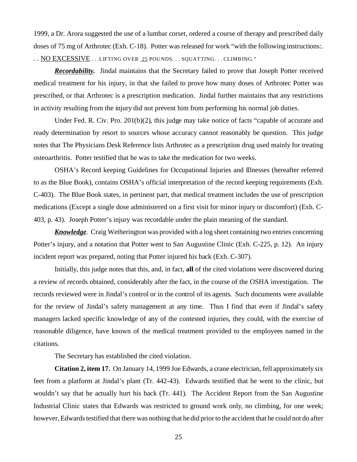1999, a Dr. Arora suggested the use of a lumbar corset, ordered a course of therapy and prescribed daily doses of 75 mg of Arthrotec (Exh. C-18). Potter was released for work "with the following instructions:. . . NO EXCESSIVE . . .LIFTING OVER 25 POUNDS. . . SQUATTING. . . CLIMBING."

**Recordability.** Jindal maintains that the Secretary failed to prove that Joseph Potter received medical treatment for his injury, in that she failed to prove how many doses of Arthrotec Potter was prescribed, or that Arthrotec is a prescription medication. Jindal further maintains that any restrictions in activity resulting from the injury did not prevent him from performing his normal job duties.

Under Fed. R. Civ. Pro. 201(b)(2), this judge may take notice of facts "capable of accurate and ready determination by resort to sources whose accuracy cannot reasonably be question. This judge notes that The Physicians Desk Reference lists Arthrotec as a prescription drug used mainly for treating osteoarthritis. Potter testified that he was to take the medication for two weeks.

OSHA's Record keeping Guidelines for Occupational Injuries and Illnesses (hereafter referred to as the Blue Book), contains OSHA's official interpretation of the record keeping requirements (Exh. C-403). The Blue Book states, in pertinent part, that medical treatment includes the use of prescription medications (Except a single dose administered on a first visit for minor injury or discomfort) (Exh. C-403, p. 43). Joseph Potter's injury was recordable under the plain meaning of the standard.

**Knowledge**. Craig Wetherington was provided with a log sheet containing two entries concerning Potter's injury, and a notation that Potter went to San Augustine Clinic (Exh. C-225, p. 12). An injury incident report was prepared, noting that Potter injured his back (Exh. C-307).

Initially, this judge notes that this, and, in fact, **all** of the cited violations were discovered during a review of records obtained, considerably after the fact, in the course of the OSHA investigation. The records reviewed were in Jindal's control or in the control of its agents. Such documents were available for the review of Jindal's safety management at any time. Thus I find that even if Jindal's safety managers lacked specific knowledge of any of the contested injuries, they could, with the exercise of reasonable diligence, have known of the medical treatment provided to the employees named in the citations.

The Secretary has established the cited violation.

**Citation 2, item 17.** On January 14, 1999 Joe Edwards, a crane electrician, fell approximately six feet from a platform at Jindal's plant (Tr. 442-43). Edwards testified that he went to the clinic, but wouldn't say that he actually hurt his back (Tr. 441). The Accident Report from the San Augustine Industrial Clinic states that Edwards was restricted to ground work only, no climbing, for one week; however, Edwards testified that there was nothing that he did prior to the accident that he could not do after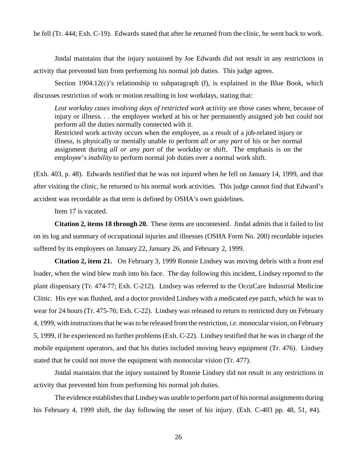he fell (Tr. 444; Exh. C-19). Edwards stated that after he returned from the clinic, he went back to work.

Jindal maintains that the injury sustained by Joe Edwards did not result in any restrictions in activity that prevented him from performing his normal job duties. This judge agrees.

Section 1904.12(c)'s relationship to subparagraph (f), is explained in the Blue Book, which discusses restriction of work or motion resulting in lost workdays, stating that:

*Lost workday cases involving days of restricted work activity* are those cases where, because of injury or illness. . . the employee worked at his or her permanently assigned job but could not perform all the duties normally connected with it.

Restricted work activity occurs when the employee, as a result of a job-related injury or illness, is physically or mentally unable to perform *all or any part* of his or her normal assignment during *all or any part* of the workday or shift. The emphasis is on the employee's *inability* to perform normal job duties over a normal work shift.

(Exh. 403, p. 48). Edwards testified that he was not injured when he fell on January 14, 1999, and that after visiting the clinic, he returned to his normal work activities. This judge cannot find that Edward's accident was recordable as that term is defined by OSHA's own guidelines.

Item 17 is vacated.

**Citation 2, items 18 through 20.** These items are uncontested. Jindal admits that it failed to list on its log and summary of occupational injuries and illnesses (OSHA Form No. 200) recordable injuries suffered by its employees on January 22, January 26, and February 2, 1999.

**Citation 2, item 21.** On February 3, 1999 Ronnie Lindsey was moving debris with a front end loader, when the wind blew trash into his face. The day following this incident, Lindsey reported to the plant dispensary (Tr. 474-77; Exh. C-212). Lindsey was referred to the OccuCare Industrial Medicine Clinic. His eye was flushed, and a doctor provided Lindsey with a medicated eye patch, which he was to wear for 24 hours (Tr. 475-76; Exh. C-22). Lindsey was released to return to restricted duty on February 4, 1999, with instructions that he was to be released from the restriction, *i.e.* monocular vision, on February 5, 1999, if he experienced no further problems (Exh. C-22). Lindsey testified that he was in charge of the mobile equipment operators, and that his duties included moving heavy equipment (Tr. 476). Lindsey stated that he could not move the equipment with monocular vision (Tr. 477).

Jindal maintains that the injury sustained by Ronnie Lindsey did not result in any restrictions in activity that prevented him from performing his normal job duties.

The evidence establishes that Lindsey was unable to perform part of his normal assignments during his February 4, 1999 shift, the day following the onset of his injury. (Exh. C-403 pp. 48, 51, #4).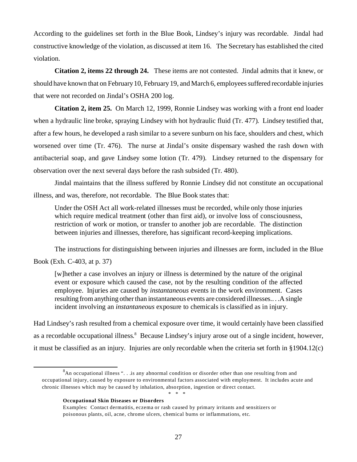According to the guidelines set forth in the Blue Book, Lindsey's injury was recordable. Jindal had constructive knowledge of the violation, as discussed at item 16. The Secretary has established the cited violation.

 **Citation 2, items 22 through 24.** These items are not contested. Jindal admits that it knew, or should have known that on February 10, February 19, and March 6, employees suffered recordable injuries that were not recorded on Jindal's OSHA 200 log.

**Citation 2, item 25.** On March 12, 1999, Ronnie Lindsey was working with a front end loader when a hydraulic line broke, spraying Lindsey with hot hydraulic fluid (Tr. 477). Lindsey testified that, after a few hours, he developed a rash similar to a severe sunburn on his face, shoulders and chest, which worsened over time (Tr. 476). The nurse at Jindal's onsite dispensary washed the rash down with antibacterial soap, and gave Lindsey some lotion (Tr. 479). Lindsey returned to the dispensary for observation over the next several days before the rash subsided (Tr. 480).

Jindal maintains that the illness suffered by Ronnie Lindsey did not constitute an occupational illness, and was, therefore, not recordable. The Blue Book states that:

Under the OSH Act all work-related illnesses must be recorded, while only those injuries which require medical treatment (other than first aid), or involve loss of consciousness, restriction of work or motion, or transfer to another job are recordable. The distinction between injuries and illnesses, therefore, has significant record-keeping implications.

The instructions for distinguishing between injuries and illnesses are form, included in the Blue Book (Exh. C-403, at p. 37)

[w]hether a case involves an injury or illness is determined by the nature of the original event or exposure which caused the case, not by the resulting condition of the affected employee. Injuries are caused by *instantaneous* events in the work environment. Cases resulting from anything other than instantaneous events are considered illnesses.. . .A single incident involving an *instantaneous* exposure to chemicals is classified as in injury.

Had Lindsey's rash resulted from a chemical exposure over time, it would certainly have been classified as a recordable occupational illness.<sup>8</sup> Because Lindsey's injury arose out of a single incident, however, it must be classified as an injury. Injuries are only recordable when the criteria set forth in §1904.12(c)

\* \* \*

#### **Occupational Skin Diseases or Disorders**

 ${}^{8}$ An occupational illness "... is any abnormal condition or disorder other than one resulting from and occupational injury, caused by exposure to environmental factors associated with employment. It includes acute and chronic illnesses which may be caused by inhalation, absorption, ingestion or direct contact.

Examples: Contact dermatitis, eczema or rash caused by primary irritants and sensitizers or poisonous plants, oil, acne, chrome ulcers, chemical burns or inflammations, etc.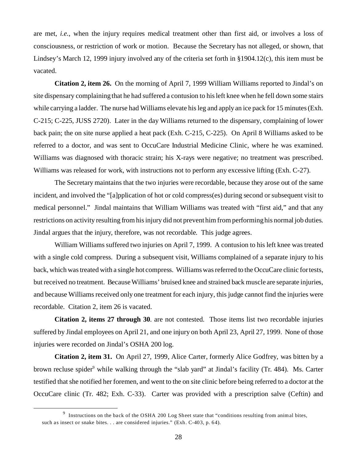are met, *i.e.*, when the injury requires medical treatment other than first aid, or involves a loss of consciousness, or restriction of work or motion. Because the Secretary has not alleged, or shown, that Lindsey's March 12, 1999 injury involved any of the criteria set forth in §1904.12(c), this item must be vacated.

**Citation 2, item 26.** On the morning of April 7, 1999 William Williams reported to Jindal's on site dispensary complaining that he had suffered a contusion to his left knee when he fell down some stairs while carrying a ladder. The nurse had Williams elevate his leg and apply an ice pack for 15 minutes (Exh. C-215; C-225, JUSS 2720). Later in the day Williams returned to the dispensary, complaining of lower back pain; the on site nurse applied a heat pack (Exh. C-215, C-225). On April 8 Williams asked to be referred to a doctor, and was sent to OccuCare Industrial Medicine Clinic, where he was examined. Williams was diagnosed with thoracic strain; his X-rays were negative; no treatment was prescribed. Williams was released for work, with instructions not to perform any excessive lifting (Exh. C-27).

 medical personnel." Jindal maintains that William Williams was treated with "first aid," and that any The Secretary maintains that the two injuries were recordable, because they arose out of the same incident, and involved the "[a]pplication of hot or cold compress(es) during second or subsequent visit to restrictions on activity resulting from his injury did not prevent him from performing his normal job duties. Jindal argues that the injury, therefore, was not recordable. This judge agrees.

William Williams suffered two injuries on April 7, 1999. A contusion to his left knee was treated with a single cold compress. During a subsequent visit, Williams complained of a separate injury to his back, which was treated with a single hot compress. Williams was referred to the OccuCare clinic for tests, but received no treatment. Because Williams' bruised knee and strained back muscle are separate injuries, and because Williams received only one treatment for each injury, this judge cannot find the injuries were recordable. Citation 2, item 26 is vacated.

**Citation 2, items 27 through 30**. are not contested. Those items list two recordable injuries suffered by Jindal employees on April 21, and one injury on both April 23, April 27, 1999. None of those injuries were recorded on Jindal's OSHA 200 log.

**Citation 2, item 31.** On April 27, 1999, Alice Carter, formerly Alice Godfrey, was bitten by a brown recluse spider<sup>9</sup> while walking through the "slab yard" at Jindal's facility (Tr. 484). Ms. Carter testified that she notified her foremen, and went to the on site clinic before being referred to a doctor at the OccuCare clinic (Tr. 482; Exh. C-33). Carter was provided with a prescription salve (Ceftin) and

 $9$  Instructions on the back of the OSHA 200 Log Sheet state that "conditions resulting from animal bites, such as insect or snake bites. . . are considered injuries." (Exh. C-403, p. 64).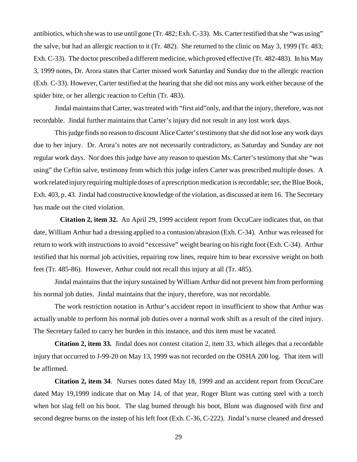antibiotics, which she was to use until gone (Tr. 482; Exh. C-33). Ms. Carter testified that she "was using" the salve, but had an allergic reaction to it (Tr. 482). She returned to the clinic on May 3, 1999 (Tr. 483; Exh. C-33). The doctor prescribed a different medicine, which proved effective (Tr. 482-483). In his May 3, 1999 notes, Dr. Arora states that Carter missed work Saturday and Sunday due to the allergic reaction (Exh. C-33). However, Carter testified at the hearing that she did not miss any work either because of the spider bite, or her allergic reaction to Ceftin (Tr. 483).

Jindal maintains that Carter, was treated with "first aid"only, and that the injury, therefore, was not recordable. Jindal further maintains that Carter's injury did not result in any lost work days.

This judge finds no reason to discount Alice Carter's testimony that she did not lose any work days due to her injury. Dr. Arora's notes are not necessarily contradictory, as Saturday and Sunday are not regular work days. Nor does this judge have any reason to question Ms. Carter's testimony that she "was using" the Ceftin salve, testimony from which this judge infers Carter was prescribed multiple doses. A work related injury requiring multiple doses of a prescription medication is recordable; *see*, the Blue Book, Exh. 403, p. 43. Jindal had constructive knowledge of the violation, as discussed at item 16. The Secretary has made out the cited violation.

**Citation 2, item 32.** An April 29, 1999 accident report from OccuCare indicates that, on that date, William Arthur had a dressing applied to a contusion/abrasion (Exh. C-34). Arthur was released for return to work with instructions to avoid "excessive" weight bearing on his right foot (Exh. C-34). Arthur testified that his normal job activities, repairing row lines, require him to bear excessive weight on both feet (Tr. 485-86). However, Arthur could not recall this injury at all (Tr. 485).

Jindal maintains that the injury sustained by William Arthur did not prevent him from performing his normal job duties. Jindal maintains that the injury, therefore, was not recordable.

The work restriction notation in Arthur's accident report in insufficient to show that Arthur was actually unable to perform his normal job duties over a normal work shift as a result of the cited injury. The Secretary failed to carry her burden in this instance, and this item must be vacated.

**Citation 2, item 33.** Jindal does not contest citation 2, item 33, which alleges that a recordable injury that occurred to J-99-20 on May 13, 1999 was not recorded on the OSHA 200 log. That item will be affirmed.

**Citation 2, item 34**. Nurses notes dated May 18, 1999 and an accident report from OccuCare dated May 19,1999 indicate that on May 14, of that year, Roger Blunt was cutting steel with a torch when hot slag fell on his boot. The slag burned through his boot, Blunt was diagnosed with first and second degree burns on the instep of his left foot (Exh. C-36, C-222). Jindal's nurse cleaned and dressed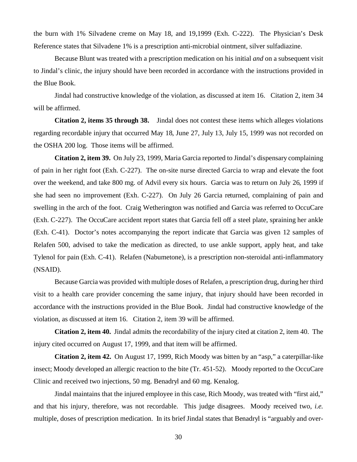the burn with 1% Silvadene creme on May 18, and 19,1999 (Exh. C-222). The Physician's Desk Reference states that Silvadene 1% is a prescription anti-microbial ointment, silver sulfadiazine.

Because Blunt was treated with a prescription medication on his initial *and* on a subsequent visit to Jindal's clinic, the injury should have been recorded in accordance with the instructions provided in the Blue Book.

 Jindal had constructive knowledge of the violation, as discussed at item 16. Citation 2, item 34 will be affirmed.

 **Citation 2, items 35 through 38.** Jindal does not contest these items which alleges violations regarding recordable injury that occurred May 18, June 27, July 13, July 15, 1999 was not recorded on the OSHA 200 log. Those items will be affirmed.

**Citation 2, item 39.** On July 23, 1999, Maria Garcia reported to Jindal's dispensary complaining of pain in her right foot (Exh. C-227). The on-site nurse directed Garcia to wrap and elevate the foot over the weekend, and take 800 mg. of Advil every six hours. Garcia was to return on July 26, 1999 if she had seen no improvement (Exh. C-227). On July 26 Garcia returned, complaining of pain and swelling in the arch of the foot. Craig Wetherington was notified and Garcia was referred to OccuCare (Exh. C-227). The OccuCare accident report states that Garcia fell off a steel plate, spraining her ankle (Exh. C-41). Doctor's notes accompanying the report indicate that Garcia was given 12 samples of Relafen 500, advised to take the medication as directed, to use ankle support, apply heat, and take Tylenol for pain (Exh. C-41). Relafen (Nabumetone), is a prescription non-steroidal anti-inflammatory (NSAID).

Because Garcia was provided with multiple doses of Relafen, a prescription drug, during her third visit to a health care provider concerning the same injury, that injury should have been recorded in accordance with the instructions provided in the Blue Book. Jindal had constructive knowledge of the violation, as discussed at item 16. Citation 2, item 39 will be affirmed.

**Citation 2, item 40.** Jindal admits the recordability of the injury cited at citation 2, item 40. The injury cited occurred on August 17, 1999, and that item will be affirmed.

**Citation 2, item 42.** On August 17, 1999, Rich Moody was bitten by an "asp," a caterpillar-like insect; Moody developed an allergic reaction to the bite (Tr. 451-52). Moody reported to the OccuCare Clinic and received two injections, 50 mg. Benadryl and 60 mg. Kenalog.

Jindal maintains that the injured employee in this case, Rich Moody, was treated with "first aid," and that his injury, therefore, was not recordable. This judge disagrees. Moody received two, *i.e.*  multiple, doses of prescription medication. In its brief Jindal states that Benadryl is "arguably and over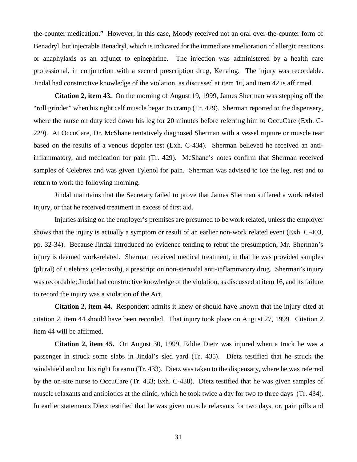the-counter medication." However, in this case, Moody received not an oral over-the-counter form of Benadryl, but injectable Benadryl, which is indicated for the immediate amelioration of allergic reactions or anaphylaxis as an adjunct to epinephrine. The injection was administered by a health care professional, in conjunction with a second prescription drug, Kenalog. The injury was recordable. Jindal had constructive knowledge of the violation, as discussed at item 16, and item 42 is affirmed.

**Citation 2, item 43.** On the morning of August 19, 1999, James Sherman was stepping off the "roll grinder" when his right calf muscle began to cramp (Tr. 429). Sherman reported to the dispensary, where the nurse on duty iced down his leg for 20 minutes before referring him to OccuCare (Exh. C-229). At OccuCare, Dr. McShane tentatively diagnosed Sherman with a vessel rupture or muscle tear based on the results of a venous doppler test (Exh. C-434). Sherman believed he received an antiinflammatory, and medication for pain (Tr. 429). McShane's notes confirm that Sherman received samples of Celebrex and was given Tylenol for pain. Sherman was advised to ice the leg, rest and to return to work the following morning.

Jindal maintains that the Secretary failed to prove that James Sherman suffered a work related injury, or that he received treatment in excess of first aid.

Injuries arising on the employer's premises are presumed to be work related, unless the employer shows that the injury is actually a symptom or result of an earlier non-work related event (Exh. C-403, pp. 32-34). Because Jindal introduced no evidence tending to rebut the presumption, Mr. Sherman's injury is deemed work-related. Sherman received medical treatment, in that he was provided samples (plural) of Celebrex (celecoxib), a prescription non-steroidal anti-inflammatory drug. Sherman's injury was recordable; Jindal had constructive knowledge of the violation, as discussed at item 16, and its failure to record the injury was a violation of the Act.

**Citation 2, item 44.** Respondent admits it knew or should have known that the injury cited at citation 2, item 44 should have been recorded. That injury took place on August 27, 1999. Citation 2 item 44 will be affirmed.

**Citation 2, item 45.** On August 30, 1999, Eddie Dietz was injured when a truck he was a passenger in struck some slabs in Jindal's sled yard (Tr. 435). Dietz testified that he struck the windshield and cut his right forearm (Tr. 433). Dietz was taken to the dispensary, where he was referred by the on-site nurse to OccuCare (Tr. 433; Exh. C-438). Dietz testified that he was given samples of muscle relaxants and antibiotics at the clinic, which he took twice a day for two to three days (Tr. 434). In earlier statements Dietz testified that he was given muscle relaxants for two days, or, pain pills and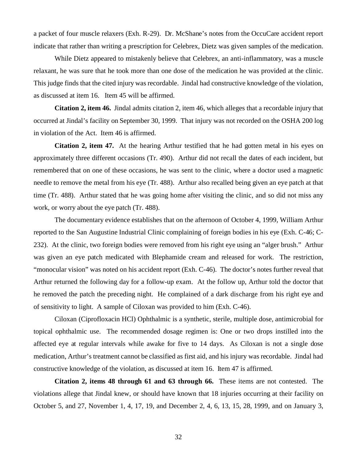a packet of four muscle relaxers (Exh. R-29). Dr. McShane's notes from the OccuCare accident report indicate that rather than writing a prescription for Celebrex, Dietz was given samples of the medication.

While Dietz appeared to mistakenly believe that Celebrex, an anti-inflammatory, was a muscle relaxant, he was sure that he took more than one dose of the medication he was provided at the clinic. This judge finds that the cited injury was recordable. Jindal had constructive knowledge of the violation, as discussed at item 16. Item 45 will be affirmed.

**Citation 2, item 46.** Jindal admits citation 2, item 46, which alleges that a recordable injury that occurred at Jindal's facility on September 30, 1999. That injury was not recorded on the OSHA 200 log in violation of the Act. Item 46 is affirmed.

**Citation 2, item 47.** At the hearing Arthur testified that he had gotten metal in his eyes on approximately three different occasions (Tr. 490). Arthur did not recall the dates of each incident, but remembered that on one of these occasions, he was sent to the clinic, where a doctor used a magnetic needle to remove the metal from his eye (Tr. 488). Arthur also recalled being given an eye patch at that time (Tr. 488). Arthur stated that he was going home after visiting the clinic, and so did not miss any work, or worry about the eye patch (Tr. 488).

The documentary evidence establishes that on the afternoon of October 4, 1999, William Arthur reported to the San Augustine Industrial Clinic complaining of foreign bodies in his eye (Exh. C-46; C-232). At the clinic, two foreign bodies were removed from his right eye using an "alger brush." Arthur was given an eye patch medicated with Blephamide cream and released for work. The restriction, "monocular vision" was noted on his accident report (Exh. C-46). The doctor's notes further reveal that Arthur returned the following day for a follow-up exam. At the follow up, Arthur told the doctor that he removed the patch the preceding night. He complained of a dark discharge from his right eye and of sensitivity to light. A sample of Ciloxan was provided to him (Exh. C-46).

Ciloxan (Ciprofloxacin HCl) Ophthalmic is a synthetic, sterile, multiple dose, antimicrobial for topical ophthalmic use. The recommended dosage regimen is: One or two drops instilled into the affected eye at regular intervals while awake for five to 14 days. As Ciloxan is not a single dose medication, Arthur's treatment cannot be classified as first aid, and his injury was recordable. Jindal had constructive knowledge of the violation, as discussed at item 16. Item 47 is affirmed.

**Citation 2, items 48 through 61 and 63 through 66.** These items are not contested. The violations allege that Jindal knew, or should have known that 18 injuries occurring at their facility on October 5, and 27, November 1, 4, 17, 19, and December 2, 4, 6, 13, 15, 28, 1999, and on January 3,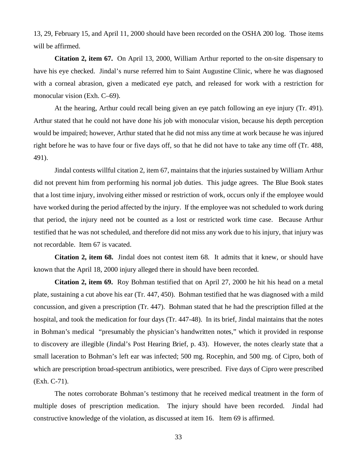13, 29, February 15, and April 11, 2000 should have been recorded on the OSHA 200 log. Those items will be affirmed.

**Citation 2, item 67.** On April 13, 2000, William Arthur reported to the on-site dispensary to have his eye checked. Jindal's nurse referred him to Saint Augustine Clinic, where he was diagnosed with a corneal abrasion, given a medicated eye patch, and released for work with a restriction for monocular vision (Exh. C–69).

At the hearing, Arthur could recall being given an eye patch following an eye injury (Tr. 491). Arthur stated that he could not have done his job with monocular vision, because his depth perception would be impaired; however, Arthur stated that he did not miss any time at work because he was injured right before he was to have four or five days off, so that he did not have to take any time off (Tr. 488, 491).

Jindal contests willful citation 2, item 67, maintains that the injuries sustained by William Arthur did not prevent him from performing his normal job duties. This judge agrees. The Blue Book states that a lost time injury, involving either missed or restriction of work, occurs only if the employee would have worked during the period affected by the injury. If the employee was not scheduled to work during that period, the injury need not be counted as a lost or restricted work time case. Because Arthur testified that he was not scheduled, and therefore did not miss any work due to his injury, that injury was not recordable. Item 67 is vacated.

**Citation 2, item 68.** Jindal does not contest item 68. It admits that it knew, or should have known that the April 18, 2000 injury alleged there in should have been recorded.

**Citation 2, item 69.** Roy Bohman testified that on April 27, 2000 he hit his head on a metal plate, sustaining a cut above his ear (Tr. 447, 450). Bohman testified that he was diagnosed with a mild concussion, and given a prescription (Tr. 447). Bohman stated that he had the prescription filled at the hospital, and took the medication for four days (Tr. 447-48). In its brief, Jindal maintains that the notes in Bohman's medical "presumably the physician's handwritten notes," which it provided in response to discovery are illegible (Jindal's Post Hearing Brief, p. 43). However, the notes clearly state that a small laceration to Bohman's left ear was infected; 500 mg. Rocephin, and 500 mg. of Cipro, both of which are prescription broad-spectrum antibiotics, were prescribed. Five days of Cipro were prescribed (Exh. C-71).

The notes corroborate Bohman's testimony that he received medical treatment in the form of multiple doses of prescription medication. The injury should have been recorded. Jindal had constructive knowledge of the violation, as discussed at item 16. Item 69 is affirmed.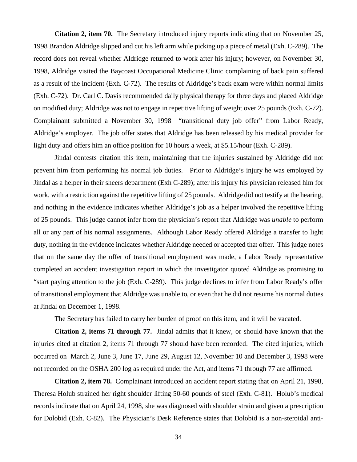**Citation 2, item 70.** The Secretary introduced injury reports indicating that on November 25, 1998 Brandon Aldridge slipped and cut his left arm while picking up a piece of metal (Exh. C-289). The record does not reveal whether Aldridge returned to work after his injury; however, on November 30, 1998, Aldridge visited the Baycoast Occupational Medicine Clinic complaining of back pain suffered as a result of the incident (Exh. C-72). The results of Aldridge's back exam were within normal limits (Exh. C-72). Dr. Carl C. Davis recommended daily physical therapy for three days and placed Aldridge on modified duty; Aldridge was not to engage in repetitive lifting of weight over 25 pounds (Exh. C-72). Complainant submitted a November 30, 1998 "transitional duty job offer" from Labor Ready, Aldridge's employer. The job offer states that Aldridge has been released by his medical provider for light duty and offers him an office position for 10 hours a week, at \$5.15/hour (Exh. C-289).

Jindal contests citation this item, maintaining that the injuries sustained by Aldridge did not prevent him from performing his normal job duties. Prior to Aldridge's injury he was employed by Jindal as a helper in their sheers department (Exh C-289); after his injury his physician released him for work, with a restriction against the repetitive lifting of 25 pounds. Aldridge did not testify at the hearing, and nothing in the evidence indicates whether Aldridge's job as a helper involved the repetitive lifting of 25 pounds. This judge cannot infer from the physician's report that Aldridge was *unable* to perform all or any part of his normal assignments. Although Labor Ready offered Aldridge a transfer to light duty, nothing in the evidence indicates whether Aldridge needed or accepted that offer. This judge notes that on the same day the offer of transitional employment was made, a Labor Ready representative completed an accident investigation report in which the investigator quoted Aldridge as promising to "start paying attention to the job (Exh. C-289). This judge declines to infer from Labor Ready's offer of transitional employment that Aldridge was unable to, or even that he did not resume his normal duties at Jindal on December 1, 1998.

The Secretary has failed to carry her burden of proof on this item, and it will be vacated.

**Citation 2, items 71 through 77.** Jindal admits that it knew, or should have known that the injuries cited at citation 2, items 71 through 77 should have been recorded. The cited injuries, which occurred on March 2, June 3, June 17, June 29, August 12, November 10 and December 3, 1998 were not recorded on the OSHA 200 log as required under the Act, and items 71 through 77 are affirmed.

**Citation 2, item 78.** Complainant introduced an accident report stating that on April 21, 1998, Theresa Holub strained her right shoulder lifting 50-60 pounds of steel (Exh. C-81). Holub's medical records indicate that on April 24, 1998, she was diagnosed with shoulder strain and given a prescription for Dolobid (Exh. C-82). The Physician's Desk Reference states that Dolobid is a non-steroidal anti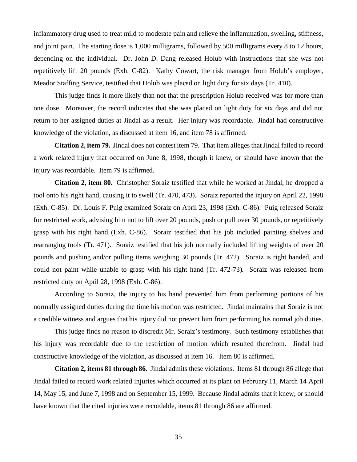inflammatory drug used to treat mild to moderate pain and relieve the inflammation, swelling, stiffness, and joint pain. The starting dose is 1,000 milligrams, followed by 500 milligrams every 8 to 12 hours, depending on the individual. Dr. John D. Dang released Holub with instructions that she was not repetitively lift 20 pounds (Exh. C-82). Kathy Cowart, the risk manager from Holub's employer, Meador Staffing Service, testified that Holub was placed on light duty for six days (Tr. 410).

This judge finds it more likely than not that the prescription Holub received was for more than one dose. Moreover, the record indicates that she was placed on light duty for six days and did not return to her assigned duties at Jindal as a result. Her injury was recordable. Jindal had constructive knowledge of the violation, as discussed at item 16, and item 78 is affirmed.

**Citation 2, item 79.** Jindal does not contest item 79. That item alleges that Jindal failed to record a work related injury that occurred on June 8, 1998, though it knew, or should have known that the injury was recordable. Item 79 is affirmed.

**Citation 2, item 80.** Christopher Soraiz testified that while he worked at Jindal, he dropped a tool onto his right hand, causing it to swell (Tr. 470, 473). Soraiz reported the injury on April 22, 1998 (Exh. C-85). Dr. Louis F. Puig examined Soraiz on April 23, 1998 (Exh. C-86). Puig released Soraiz for restricted work, advising him not to lift over 20 pounds, push or pull over 30 pounds, or repetitively grasp with his right hand (Exh. C-86). Soraiz testified that his job included painting shelves and rearranging tools (Tr. 471). Soraiz testified that his job normally included lifting weights of over 20 pounds and pushing and/or pulling items weighing 30 pounds (Tr. 472). Soraiz is right handed, and could not paint while unable to grasp with his right hand (Tr. 472-73). Soraiz was released from restricted duty on April 28, 1998 (Exh. C-86).

According to Soraiz, the injury to his hand prevented him from performing portions of his normally assigned duties during the time his motion was restricted. Jindal maintains that Soraiz is not a credible witness and argues that his injury did not prevent him from performing his normal job duties.

This judge finds no reason to discredit Mr. Soraiz's testimony. Such testimony establishes that his injury was recordable due to the restriction of motion which resulted therefrom. Jindal had constructive knowledge of the violation, as discussed at item 16. Item 80 is affirmed.

 **Citation 2, items 81 through 86.** Jindal admits these violations. Items 81 through 86 allege that Jindal failed to record work related injuries which occurred at its plant on February 11, March 14 April 14, May 15, and June 7, 1998 and on September 15, 1999. Because Jindal admits that it knew, or should have known that the cited injuries were recordable, items 81 through 86 are affirmed.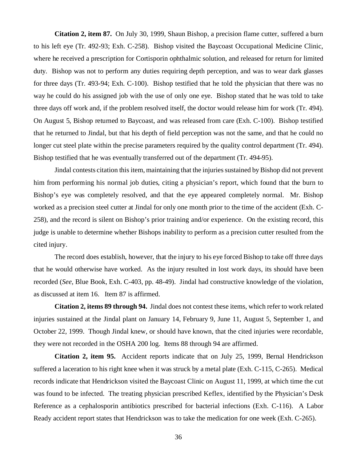**Citation 2, item 87.** On July 30, 1999, Shaun Bishop, a precision flame cutter, suffered a burn to his left eye (Tr. 492-93; Exh. C-258). Bishop visited the Baycoast Occupational Medicine Clinic, where he received a prescription for Cortisporin ophthalmic solution, and released for return for limited duty. Bishop was not to perform any duties requiring depth perception, and was to wear dark glasses for three days (Tr. 493-94; Exh. C-100). Bishop testified that he told the physician that there was no way he could do his assigned job with the use of only one eye. Bishop stated that he was told to take three days off work and, if the problem resolved itself, the doctor would release him for work (Tr. 494). On August 5, Bishop returned to Baycoast, and was released from care (Exh. C-100). Bishop testified that he returned to Jindal, but that his depth of field perception was not the same, and that he could no longer cut steel plate within the precise parameters required by the quality control department (Tr. 494). Bishop testified that he was eventually transferred out of the department (Tr. 494-95).

Jindal contests citation this item, maintaining that the injuries sustained by Bishop did not prevent him from performing his normal job duties, citing a physician's report, which found that the burn to Bishop's eye was completely resolved, and that the eye appeared completely normal. Mr. Bishop worked as a precision steel cutter at Jindal for only one month prior to the time of the accident (Exh. C-258), and the record is silent on Bishop's prior training and/or experience. On the existing record, this judge is unable to determine whether Bishops inability to perform as a precision cutter resulted from the cited injury.

 recorded (*See,* Blue Book, Exh. C-403, pp. 48-49). Jindal had constructive knowledge of the violation, The record does establish, however, that the injury to his eye forced Bishop to take off three days that he would otherwise have worked. As the injury resulted in lost work days, its should have been as discussed at item 16. Item 87 is affirmed.

**Citation 2, items 89 through 94.** Jindal does not contest these items, which refer to work related injuries sustained at the Jindal plant on January 14, February 9, June 11, August 5, September 1, and October 22, 1999. Though Jindal knew, or should have known, that the cited injuries were recordable, they were not recorded in the OSHA 200 log. Items 88 through 94 are affirmed.

**Citation 2, item 95.** Accident reports indicate that on July 25, 1999, Bernal Hendrickson suffered a laceration to his right knee when it was struck by a metal plate (Exh. C-115, C-265). Medical records indicate that Hendrickson visited the Baycoast Clinic on August 11, 1999, at which time the cut was found to be infected. The treating physician prescribed Keflex, identified by the Physician's Desk Reference as a cephalosporin antibiotics prescribed for bacterial infections (Exh. C-116). A Labor Ready accident report states that Hendrickson was to take the medication for one week (Exh. C-265).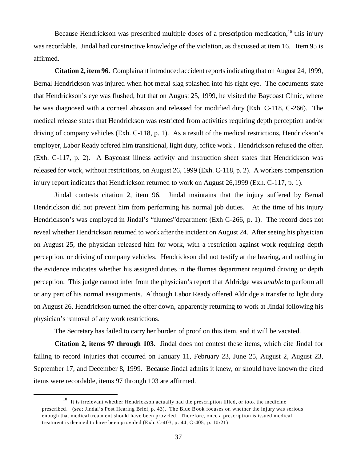Because Hendrickson was prescribed multiple doses of a prescription medication,<sup>10</sup> this injury was recordable. Jindal had constructive knowledge of the violation, as discussed at item 16. Item 95 is affirmed.

**Citation 2, item 96.** Complainant introduced accident reports indicating that on August 24, 1999, Bernal Hendrickson was injured when hot metal slag splashed into his right eye. The documents state that Hendrickson's eye was flushed, but that on August 25, 1999, he visited the Baycoast Clinic, where he was diagnosed with a corneal abrasion and released for modified duty (Exh. C-118, C-266). The medical release states that Hendrickson was restricted from activities requiring depth perception and/or driving of company vehicles (Exh. C-118, p. 1). As a result of the medical restrictions, Hendrickson's employer, Labor Ready offered him transitional, light duty, office work . Hendrickson refused the offer. (Exh. C-117, p. 2). A Baycoast illness activity and instruction sheet states that Hendrickson was released for work, without restrictions, on August 26, 1999 (Exh. C-118, p. 2). A workers compensation injury report indicates that Hendrickson returned to work on August 26,1999 (Exh. C-117, p. 1).

Jindal contests citation 2, item 96. Jindal maintains that the injury suffered by Bernal Hendrickson did not prevent him from performing his normal job duties. At the time of his injury Hendrickson's was employed in Jindal's "flumes"department (Exh C-266, p. 1). The record does not reveal whether Hendrickson returned to work after the incident on August 24. After seeing his physician on August 25, the physician released him for work, with a restriction against work requiring depth perception, or driving of company vehicles. Hendrickson did not testify at the hearing, and nothing in the evidence indicates whether his assigned duties in the flumes department required driving or depth perception. This judge cannot infer from the physician's report that Aldridge was *unable* to perform all or any part of his normal assignments. Although Labor Ready offered Aldridge a transfer to light duty on August 26, Hendrickson turned the offer down, apparently returning to work at Jindal following his physician's removal of any work restrictions.

The Secretary has failed to carry her burden of proof on this item, and it will be vacated.

**Citation 2, items 97 through 103.** Jindal does not contest these items, which cite Jindal for failing to record injuries that occurred on January 11, February 23, June 25, August 2, August 23, September 17, and December 8, 1999. Because Jindal admits it knew, or should have known the cited items were recordable, items 97 through 103 are affirmed.

 $10$  It is irrelevant whether Hendrickson actually had the prescription filled, or took the medicine prescribed. (*see;* Jindal's Post Hearing Brief, p. 43). The Blue Book focuses on whether the injury was serious enough that medical treatment should have been provided. Therefore, once a prescription is issued medical treatment is deemed to have been provided (Exh. C-403, p. 44; C-405, p. 10/21).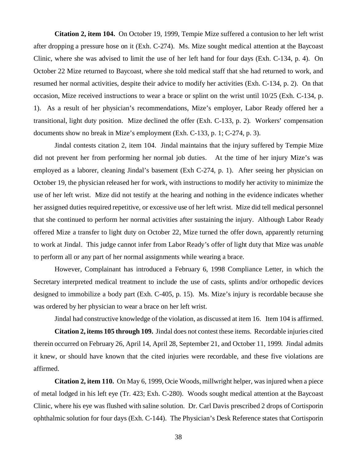**Citation 2, item 104.** On October 19, 1999, Tempie Mize suffered a contusion to her left wrist after dropping a pressure hose on it (Exh. C-274). Ms. Mize sought medical attention at the Baycoast Clinic, where she was advised to limit the use of her left hand for four days (Exh. C-134, p. 4). On October 22 Mize returned to Baycoast, where she told medical staff that she had returned to work, and resumed her normal activities, despite their advice to modify her activities (Exh. C-134, p. 2). On that occasion, Mize received instructions to wear a brace or splint on the wrist until 10/25 (Exh. C-134, p. 1). As a result of her physician's recommendations, Mize's employer, Labor Ready offered her a transitional, light duty position. Mize declined the offer (Exh. C-133, p. 2). Workers' compensation documents show no break in Mize's employment (Exh. C-133, p. 1; C-274, p. 3).

Jindal contests citation 2, item 104. Jindal maintains that the injury suffered by Tempie Mize did not prevent her from performing her normal job duties. At the time of her injury Mize's was employed as a laborer, cleaning Jindal's basement (Exh C-274, p. 1). After seeing her physician on October 19, the physician released her for work, with instructions to modify her activity to minimize the use of her left wrist. Mize did not testify at the hearing and nothing in the evidence indicates whether her assigned duties required repetitive, or excessive use of her left wrist. Mize did tell medical personnel that she continued to perform her normal activities after sustaining the injury. Although Labor Ready offered Mize a transfer to light duty on October 22, Mize turned the offer down, apparently returning to work at Jindal. This judge cannot infer from Labor Ready's offer of light duty that Mize was *unable*  to perform all or any part of her normal assignments while wearing a brace.

However, Complainant has introduced a February 6, 1998 Compliance Letter, in which the Secretary interpreted medical treatment to include the use of casts, splints and/or orthopedic devices designed to immobilize a body part (Exh. C-405, p. 15). Ms. Mize's injury is recordable because she was ordered by her physician to wear a brace on her left wrist.

Jindal had constructive knowledge of the violation, as discussed at item 16. Item 104 is affirmed.

**Citation 2, items 105 through 109.** Jindal does not contest these items. Recordable injuries cited therein occurred on February 26, April 14, April 28, September 21, and October 11, 1999. Jindal admits it knew, or should have known that the cited injuries were recordable, and these five violations are affirmed.

**Citation 2, item 110.** On May 6, 1999, Ocie Woods, millwright helper, was injured when a piece of metal lodged in his left eye (Tr. 423; Exh. C-280). Woods sought medical attention at the Baycoast Clinic, where his eye was flushed with saline solution. Dr. Carl Davis prescribed 2 drops of Cortisporin ophthalmic solution for four days (Exh. C-144). The Physician's Desk Reference states that Cortisporin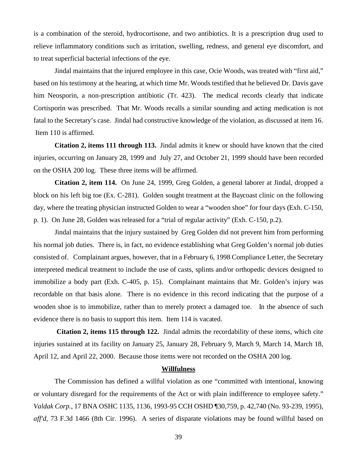is a combination of the steroid, hydrocortisone, and two antibiotics. It is a prescription drug used to relieve inflammatory conditions such as irritation, swelling, redness, and general eye discomfort, and to treat superficial bacterial infections of the eye.

Jindal maintains that the injured employee in this case, Ocie Woods, was treated with "first aid," based on his testimony at the hearing, at which time Mr. Woods testified that he believed Dr. Davis gave him Neosporin, a non-prescription antibiotic (Tr. 423). The medical records clearly that indicate Cortisporin was prescribed. That Mr. Woods recalls a similar sounding and acting medication is not fatal to the Secretary's case. Jindal had constructive knowledge of the violation, as discussed at item 16. Item 110 is affirmed.

**Citation 2, items 111 through 113.** Jindal admits it knew or should have known that the cited injuries, occurring on January 28, 1999 and July 27, and October 21, 1999 should have been recorded on the OSHA 200 log. These three items will be affirmed.

**Citation 2, item 114.** On June 24, 1999, Greg Golden, a general laborer at Jindal, dropped a block on his left big toe (Ex. C-281). Golden sought treatment at the Baycoast clinic on the following day, where the treating physician instructed Golden to wear a "wooden shoe" for four days (Exh. C-150, p. 1). On June 28, Golden was released for a "trial of regular activity" (Exh. C-150, p.2).

Jindal maintains that the injury sustained by Greg Golden did not prevent him from performing his normal job duties. There is, in fact, no evidence establishing what Greg Golden's normal job duties consisted of. Complainant argues, however, that in a February 6, 1998 Compliance Letter, the Secretary interpreted medical treatment to include the use of casts, splints and/or orthopedic devices designed to immobilize a body part (Exh. C-405, p. 15). Complainant maintains that Mr. Golden's injury was recordable on that basis alone. There is no evidence in this record indicating that the purpose of a wooden shoe is to immobilize, rather than to merely protect a damaged toe. In the absence of such evidence there is no basis to support this item. Item 114 is vacated.

 **Citation 2, items 115 through 122.** Jindal admits the recordability of these items, which cite injuries sustained at its facility on January 25, January 28, February 9, March 9, March 14, March 18, April 12, and April 22, 2000. Because those items were not recorded on the OSHA 200 log.

## **Willfulness**

The Commission has defined a willful violation as one "committed with intentional, knowing or voluntary disregard for the requirements of the Act or with plain indifference to employee safety." *Valdak Corp.*, 17 BNA OSHC 1135, 1136, 1993-95 CCH OSHD ¶30,759, p. 42,740 (No. 93-239, 1995), *aff'd,* 73 F.3d 1466 (8th Cir. 1996). A series of disparate violations may be found willful based on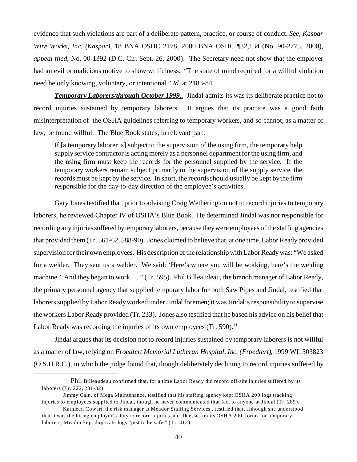evidence that such violations are part of a deliberate pattern, practice, or course of conduct. *See, Kaspar Wire Works, Inc. (Kaspar),* 18 BNA OSHC 2178, 2000 BNA OSHC ¶32,134 (No. 90-2775, 2000), *appeal filed*, No. 00-1392 (D.C. Cir. Sept. 26, 2000). The Secretary need not show that the employer had an evil or malicious motive to show willfulness. "The state of mind required for a willful violation need be only knowing, voluntary, or intentional." *Id.* at 2183-84.

*Temporary Laborers/through October 1999..* Jindal admits its was its deliberate practice not to record injuries sustained by temporary laborers. It argues that its practice was a good faith misinterpretation of the OSHA guidelines referring to temporary workers, and so cannot, as a matter of law, be found willful. The Blue Book states, in relevant part:

If [a temporary laborer is] subject to the supervision of the using firm, the temporary help supply service contractor is acting merely as a personnel department for the using firm, and the using firm must keep the records for the personnel supplied by the service. If the temporary workers remain subject primarily to the supervision of the supply service, the records must be kept by the service. In short, the records should usually be kept by the firm responsible for the day-to-day direction of the employee's activities.

Labor Ready was recording the injuries of its own employees (Tr. 590). $^{11}$ Gary Jones testified that, prior to advising Craig Wetherington not to record injuries to temporary laborers, he reviewed Chapter IV of OSHA's Blue Book. He determined Jindal was not responsible for recording any injuries suffered bytemporarylaborers, because they were employees of the staffing agencies that provided them (Tr. 561-62, 588-90). Jones claimed to believe that, at one time, Labor Ready provided supervision for their own employees. His description of the relationship with Labor Ready was: "We asked for a welder. They sent us a welder. We said: 'Here's where you will be working, here's the welding machine.' And they began to work. . .." (Tr. 595). Phil Billeaudeau, the branch manager of Labor Ready, the primary personnel agency that supplied temporary labor for both Saw Pipes and Jindal, testified that laborers supplied by Labor Ready worked under Jindal foremen; it was Jindal's responsibility to supervise the workers Labor Ready provided (Tr. 233). Jones also testified that he based his advice on his belief that

Jindal argues that its decision not to record injuries sustained by temporary laborers is not willful as a matter of law, relying on *Froedtert Memorial Lutheran Hospital, Inc. (Froedtert)*, 1999 WL 503823 (O.S.H.R.C.), in which the judge found that, though deliberately declining to record injuries suffered by

 laborers (Tr. 222, 231-32) <sup>11</sup> Phil Billeaudeau confirmed that, for a time Labor Ready did record off-site injuries suffered by its

Jimmy Cain, of Mega Maintenance, testified that his staffing agency kept OSHA 200 logs tracking injuries to employees supplied to Jindal, though he never communicated that fact to anyone at Jindal (Tr. 289).

Kathleen Cowart, the risk manager at Meador Staffing Services , testified that, although she understood that it was the hiring employer's duty to record injuries and illnesses on its OSHA 200 forms for temporary laborers, Meador kept duplicate logs "just to be safe." (Tr. 412).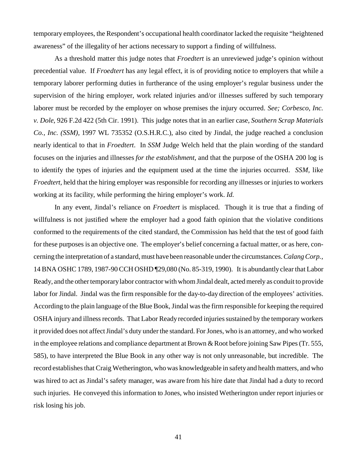temporary employees, the Respondent's occupational health coordinator lacked the requisite "heightened awareness" of the illegality of her actions necessary to support a finding of willfulness.

As a threshold matter this judge notes that *Froedtert* is an unreviewed judge's opinion without precedential value. If *Froedtert* has any legal effect, it is of providing notice to employers that while a temporary laborer performing duties in furtherance of the using employer's regular business under the supervision of the hiring employer, work related injuries and/or illnesses suffered by such temporary laborer must be recorded by the employer on whose premises the injury occurred. *See; Corbesco, Inc. v. Dole*, 926 F.2d 422 (5th Cir. 1991). This judge notes that in an earlier case, *Southern Scrap Materials Co., Inc. (SSM),* 1997 WL 735352 (O.S.H.R.C.), also cited by Jindal, the judge reached a conclusion nearly identical to that in *Froedtert*. In *SSM* Judge Welch held that the plain wording of the standard focuses on the injuries and illnesses *for the establishment,* and that the purpose of the OSHA 200 log is to identify the types of injuries and the equipment used at the time the injuries occurred. *SSM,* like *Froedtert,* held that the hiring employer was responsible for recording any illnesses or injuries to workers working at its facility, while performing the hiring employer's work. *Id.* 

In any event, Jindal's reliance on *Froedtert* is misplaced. Though it is true that a finding of willfulness is not justified where the employer had a good faith opinion that the violative conditions conformed to the requirements of the cited standard, the Commission has held that the test of good faith for these purposes is an objective one. The employer's belief concerning a factual matter, or as here, concerning the interpretation of a standard, must have been reasonable under the circumstances. *Calang Corp.*, 14 BNA OSHC 1789, 1987-90 CCH OSHD ¶29,080 (No. 85-319, 1990). It is abundantly clear that Labor Ready, and the other temporary labor contractor with whom Jindal dealt, acted merely as conduit to provide labor for Jindal. Jindal was the firm responsible for the day-to-day direction of the employees' activities. According to the plain language of the Blue Book, Jindal was the firm responsible for keeping the required OSHA injury and illness records. That Labor Ready recorded injuries sustained by the temporary workers it provided does not affect Jindal's duty under the standard. For Jones, who is an attorney, and who worked in the employee relations and compliance department at Brown & Root before joining Saw Pipes (Tr. 555, 585), to have interpreted the Blue Book in any other way is not only unreasonable, but incredible. The record establishes that Craig Wetherington, who was knowledgeable in safety and health matters, and who was hired to act as Jindal's safety manager, was aware from his hire date that Jindal had a duty to record such injuries. He conveyed this information to Jones, who insisted Wetherington under report injuries or risk losing his job.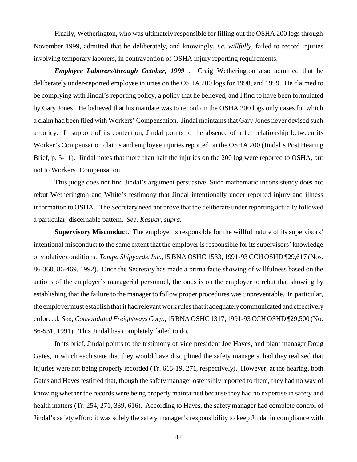Finally, Wetherington, who was ultimately responsible for filling out the OSHA 200 logs through November 1999, admitted that he deliberately, and knowingly, *i.e. willfully,* failed to record injuries involving temporary laborers, in contravention of OSHA injury reporting requirements.

*Employee Laborers/through October, 1999*. Craig Wetherington also admitted that he deliberately under-reported employee injuries on the OSHA 200 logs for 1998, and 1999. He claimed to be complying with Jindal's reporting policy, a policy that he believed, and I find to have been formulated by Gary Jones. He believed that his mandate was to record on the OSHA 200 logs only cases for which a claim had been filed with Workers' Compensation. Jindal maintains that Gary Jones never devised such a policy. In support of its contention, Jindal points to the absence of a 1:1 relationship between its Worker's Compensation claims and employee injuries reported on the OSHA 200 (Jindal's Post Hearing Brief, p. 5-11). Jindal notes that more than half the injuries on the 200 log were reported to OSHA, but not to Workers' Compensation.

This judge does not find Jindal's argument persuasive. Such mathematic inconsistency does not rebut Wetherington and White's testimony that Jindal intentionally under reported injury and illness information to OSHA. The Secretary need not prove that the deliberate under reporting actually followed a particular, discernable pattern. *See, Kaspar, supra.* 

 of violative conditions. *Tampa Shipyards, Inc.,*15 BNA OSHC 1533, 1991-93 CCH OSHD ¶29,617 (Nos. enforced. *See; Consolidated Freightways Corp.*, 15 BNA OSHC 1317, 1991-93 CCH OSHD ¶29,500 (No. **Supervisory Misconduct.** The employer is responsible for the willful nature of its supervisors' intentional misconduct to the same extent that the employer is responsible for its supervisors' knowledge 86-360, 86-469, 1992). Once the Secretary has made a prima facie showing of willfulness based on the actions of the employer's managerial personnel, the onus is on the employer to rebut that showing by establishing that the failure to the manager to follow proper procedures was unpreventable. In particular, the employer must establish that it had relevant work rules that it adequately communicated and effectively 86-531, 1991). This Jindal has completely failed to do.

In its brief, Jindal points to the testimony of vice president Joe Hayes, and plant manager Doug Gates, in which each state that they would have disciplined the safety managers, had they realized that injuries were not being properly recorded (Tr. 618-19, 271, respectively). However, at the hearing, both Gates and Hayes testified that, though the safety manager ostensibly reported to them, they had no way of knowing whether the records were being properly maintained because they had no expertise in safety and health matters (Tr. 254, 271, 339, 616). According to Hayes, the safety manager had complete control of Jindal's safety effort; it was solely the safety manager's responsibility to keep Jindal in compliance with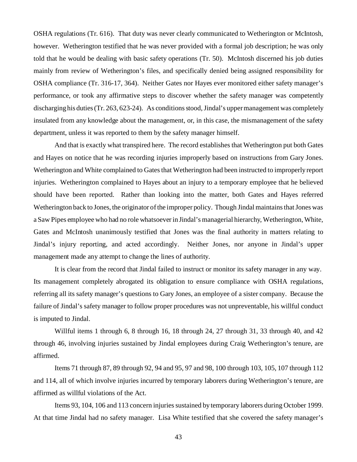OSHA regulations (Tr. 616). That duty was never clearly communicated to Wetherington or McIntosh, however. Wetherington testified that he was never provided with a formal job description; he was only told that he would be dealing with basic safety operations (Tr. 50). McIntosh discerned his job duties mainly from review of Wetherington's files, and specifically denied being assigned responsibility for OSHA compliance (Tr. 316-17, 364). Neither Gates nor Hayes ever monitored either safety manager's performance, or took any affirmative steps to discover whether the safety manager was competently discharging his duties (Tr. 263, 623-24). As conditions stood, Jindal's upper management was completely insulated from any knowledge about the management, or, in this case, the mismanagement of the safety department, unless it was reported to them by the safety manager himself.

And that is exactly what transpired here. The record establishes that Wetherington put both Gates and Hayes on notice that he was recording injuries improperly based on instructions from Gary Jones. Wetherington and White complained to Gates that Wetherington had been instructed to improperly report injuries. Wetherington complained to Hayes about an injury to a temporary employee that he believed should have been reported. Rather than looking into the matter, both Gates and Hayes referred Wetherington back to Jones, the originator of the improper policy. Though Jindal maintains that Jones was a Saw Pipes employee who had no role whatsoever in Jindal's managerial hierarchy, Wetherington, White, Gates and McIntosh unanimously testified that Jones was the final authority in matters relating to Jindal's injury reporting, and acted accordingly. Neither Jones, nor anyone in Jindal's upper management made any attempt to change the lines of authority.

It is clear from the record that Jindal failed to instruct or monitor its safety manager in any way. Its management completely abrogated its obligation to ensure compliance with OSHA regulations, referring all its safety manager's questions to Gary Jones, an employee of a sister company. Because the failure of Jindal's safety manager to follow proper procedures was not unpreventable, his willful conduct is imputed to Jindal.

Willful items 1 through 6, 8 through 16, 18 through 24, 27 through 31, 33 through 40, and 42 through 46, involving injuries sustained by Jindal employees during Craig Wetherington's tenure, are affirmed.

Items 71 through 87, 89 through 92, 94 and 95, 97 and 98, 100 through 103, 105, 107 through 112 and 114, all of which involve injuries incurred by temporary laborers during Wetherington's tenure, are affirmed as willful violations of the Act.

Items 93, 104, 106 and 113 concern injuries sustained by temporary laborers during October 1999. At that time Jindal had no safety manager. Lisa White testified that she covered the safety manager's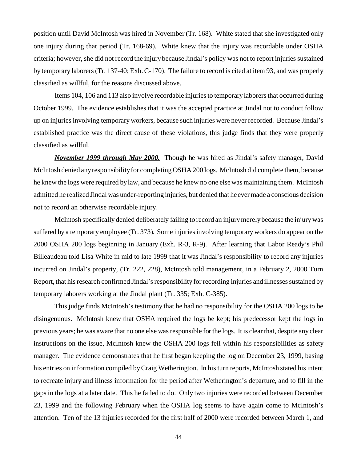position until David McIntosh was hired in November (Tr. 168). White stated that she investigated only one injury during that period (Tr. 168-69). White knew that the injury was recordable under OSHA criteria; however, she did not record the injury because Jindal's policy was not to report injuries sustained by temporary laborers (Tr. 137-40; Exh. C-170). The failure to record is cited at item 93, and was properly classified as willful, for the reasons discussed above.

Items 104, 106 and 113 also involve recordable injuries to temporary laborers that occurred during October 1999. The evidence establishes that it was the accepted practice at Jindal not to conduct follow up on injuries involving temporary workers, because such injuries were never recorded. Because Jindal's established practice was the direct cause of these violations, this judge finds that they were properly classified as willful.

*November 1999 through May 2000.* Though he was hired as Jindal's safety manager, David McIntosh denied any responsibility for completing OSHA 200 logs. McIntosh did complete them, because he knew the logs were required by law, and because he knew no one else was maintaining them. McIntosh admitted he realized Jindal was under-reporting injuries, but denied that he ever made a conscious decision not to record an otherwise recordable injury.

McIntosh specifically denied deliberately failing to record an injury merely because the injury was suffered by a temporary employee (Tr. 373). Some injuries involving temporary workers do appear on the 2000 OSHA 200 logs beginning in January (Exh. R-3, R-9). After learning that Labor Ready's Phil Billeaudeau told Lisa White in mid to late 1999 that it was Jindal's responsibility to record any injuries incurred on Jindal's property, (Tr. 222, 228), McIntosh told management, in a February 2, 2000 Turn Report, that his research confirmed Jindal's responsibility for recording injuries and illnesses sustained by temporary laborers working at the Jindal plant (Tr. 335; Exh. C-385).

This judge finds McIntosh's testimony that he had no responsibility for the OSHA 200 logs to be disingenuous. McIntosh knew that OSHA required the logs be kept; his predecessor kept the logs in previous years; he was aware that no one else was responsible for the logs. It is clear that, despite any clear instructions on the issue, McIntosh knew the OSHA 200 logs fell within his responsibilities as safety manager. The evidence demonstrates that he first began keeping the log on December 23, 1999, basing his entries on information compiled by Craig Wetherington. In his turn reports, McIntosh stated his intent to recreate injury and illness information for the period after Wetherington's departure, and to fill in the gaps in the logs at a later date. This he failed to do. Only two injuries were recorded between December 23, 1999 and the following February when the OSHA log seems to have again come to McIntosh's attention. Ten of the 13 injuries recorded for the first half of 2000 were recorded between March 1, and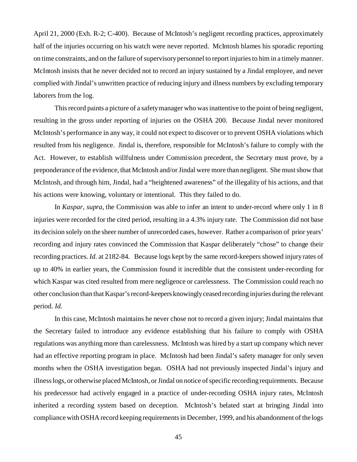April 21, 2000 (Exh. R-2; C-400). Because of McIntosh's negligent recording practices, approximately half of the injuries occurring on his watch were never reported. McIntosh blames his sporadic reporting on time constraints, and on the failure of supervisory personnel to report injuries to him in a timely manner. McIntosh insists that he never decided not to record an injury sustained by a Jindal employee, and never complied with Jindal's unwritten practice of reducing injury and illness numbers by excluding temporary laborers from the log.

This record paints a picture of a safety manager who was inattentive to the point of being negligent, resulting in the gross under reporting of injuries on the OSHA 200. Because Jindal never monitored McIntosh's performance in any way, it could not expect to discover or to prevent OSHA violations which resulted from his negligence. Jindal is, therefore, responsible for McIntosh's failure to comply with the Act. However, to establish willfulness under Commission precedent, the Secretary must prove, by a preponderance of the evidence, that McIntosh and/or Jindal were more than negligent. She must show that McIntosh, and through him, Jindal, had a "heightened awareness" of the illegality of his actions, and that his actions were knowing, voluntary or intentional. This they failed to do.

In *Kaspar, supra*, the Commission was able to infer an intent to under-record where only 1 in 8 injuries were recorded for the cited period, resulting in a 4.3% injury rate. The Commission did not base its decision solely on the sheer number of unrecorded cases, however. Rather a comparison of prior years' recording and injury rates convinced the Commission that Kaspar deliberately "chose" to change their recording practices. *Id.* at 2182-84. Because logs kept by the same record-keepers showed injury rates of up to 40% in earlier years, the Commission found it incredible that the consistent under-recording for which Kaspar was cited resulted from mere negligence or carelessness. The Commission could reach no other conclusion than that Kaspar's record-keepers knowinglyceased recording injuries during the relevant period. *Id.* 

In this case, McIntosh maintains he never chose not to record a given injury; Jindal maintains that the Secretary failed to introduce any evidence establishing that his failure to comply with OSHA regulations was anything more than carelessness. McIntosh was hired by a start up company which never had an effective reporting program in place. McIntosh had been Jindal's safety manager for only seven months when the OSHA investigation began. OSHA had not previously inspected Jindal's injury and illness logs, or otherwise placed McIntosh, or Jindal on notice of specific recording requirements. Because his predecessor had actively engaged in a practice of under-recording OSHA injury rates, McIntosh inherited a recording system based on deception. McIntosh's belated start at bringing Jindal into compliance with OSHA record keeping requirements in December, 1999, and his abandonment of the logs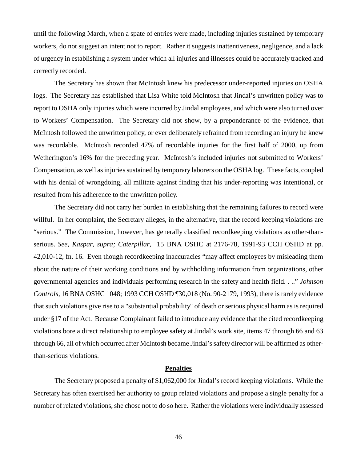until the following March, when a spate of entries were made, including injuries sustained by temporary workers, do not suggest an intent not to report. Rather it suggests inattentiveness, negligence, and a lack of urgency in establishing a system under which all injuries and illnesses could be accurately tracked and correctly recorded.

 logs. The Secretary has established that Lisa White told McIntosh that Jindal's unwritten policy was to The Secretary has shown that McIntosh knew his predecessor under-reported injuries on OSHA report to OSHA only injuries which were incurred by Jindal employees, and which were also turned over to Workers' Compensation. The Secretary did not show, by a preponderance of the evidence, that McIntosh followed the unwritten policy, or ever deliberately refrained from recording an injury he knew was recordable. McIntosh recorded 47% of recordable injuries for the first half of 2000, up from Wetherington's 16% for the preceding year. McIntosh's included injuries not submitted to Workers' Compensation, as well as injuries sustained by temporary laborers on the OSHA log. These facts, coupled with his denial of wrongdoing, all militate against finding that his under-reporting was intentional, or resulted from his adherence to the unwritten policy.

The Secretary did not carry her burden in establishing that the remaining failures to record were willful. In her complaint, the Secretary alleges, in the alternative, that the record keeping violations are "serious." The Commission, however, has generally classified recordkeeping violations as other-thanserious. *See, Kaspar, supra; Caterpillar,* 15 BNA OSHC at 2176-78, 1991-93 CCH OSHD at pp. 42,010-12, fn. 16. Even though recordkeeping inaccuracies "may affect employees by misleading them about the nature of their working conditions and by withholding information from organizations, other governmental agencies and individuals performing research in the safety and health field. . .." *Johnson Controls,* 16 BNA OSHC 1048; 1993 CCH OSHD ¶30,018 (No. 90-2179, 1993), there is rarely evidence that such violations give rise to a "substantial probability" of death or serious physical harm as is required under §17 of the Act. Because Complainant failed to introduce any evidence that the cited recordkeeping violations bore a direct relationship to employee safety at Jindal's work site, items 47 through 66 and 63 through 66, all of which occurred after McIntosh became Jindal's safety director will be affirmed as otherthan-serious violations.

#### **Penalties**

The Secretary proposed a penalty of \$1,062,000 for Jindal's record keeping violations. While the Secretary has often exercised her authority to group related violations and propose a single penalty for a number of related violations, she chose not to do so here. Rather the violations were individually assessed

46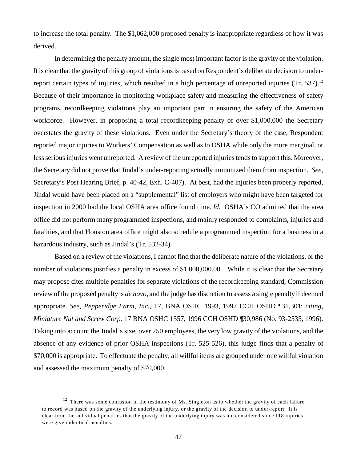to increase the total penalty. The \$1,062,000 proposed penalty is inappropriate regardless of how it was derived.

In determining the penalty amount, the single most important factor is the gravity of the violation. It is clear that the gravity of this group of violations is based on Respondent's deliberate decision to underreport certain types of injuries, which resulted in a high percentage of unreported injuries (Tr. 537).<sup>12</sup> Because of their importance in monitoring workplace safety and measuring the effectiveness of safety programs, recordkeeping violations play an important part in ensuring the safety of the American workforce. However, in proposing a total recordkeeping penalty of over \$1,000,000 the Secretary overstates the gravity of these violations. Even under the Secretary's theory of the case, Respondent reported major injuries to Workers' Compensation as well as to OSHA while only the more marginal, or less serious injuries went unreported. A review of the unreported injuries tends to support this. Moreover, the Secretary did not prove that Jindal's under-reporting actually immunized them from inspection. *See,*  Secretary's Post Hearing Brief, p. 40-42, Exh. C-407). At best, had the injuries been properly reported, Jindal would have been placed on a "supplemental" list of employers who might have been targeted for inspection in 2000 had the local OSHA area office found time. *Id.* OSHA's CO admitted that the area office did not perform many programmed inspections, and mainly responded to complaints, injuries and fatalities, and that Houston area office might also schedule a programmed inspection for a business in a hazardous industry, such as Jindal's (Tr. 532-34).

Based on a review of the violations, I cannot find that the deliberate nature of the violations, or the number of violations justifies a penalty in excess of \$1,000,000.00. While it is clear that the Secretary may propose cites multiple penalties for separate violations of the recordkeeping standard, Commission review of the proposed penalty is *de novo,* and the judge has discretion to assess a single penalty if deemed appropriate. *See, Pepperidge Farm, Inc.*, 17, BNA OSHC 1993, 1997 CCH OSHD ¶31,301; *citing, Miniature Nut and Screw Corp.* 17 BNA OSHC 1557, 1996 CCH OSHD ¶30,986 (No. 93-2535, 1996). Taking into account the Jindal's size, over 250 employees, the very low gravity of the violations, and the absence of any evidence of prior OSHA inspections (Tr. 525-526), this judge finds that a penalty of \$70,000 is appropriate. To effectuate the penalty, all willful items are grouped under one willful violation and assessed the maximum penalty of \$70,000.

 $\frac{12}{12}$  There was some confusion in the testimony of Ms. Singleton as to whether the gravity of each failure to record was based on the gravity of the underlying injury, or the gravity of the decision to under-report. It is clear from the individual penalties that the gravity of the underlying injury was not considered since 118 injuries were given identical penalties.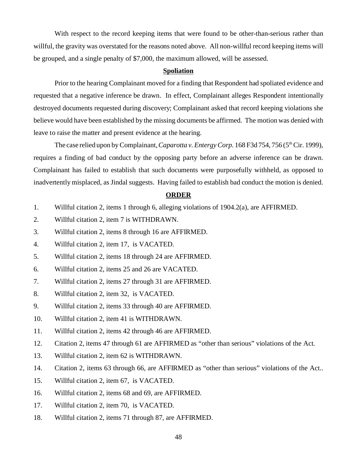With respect to the record keeping items that were found to be other-than-serious rather than willful, the gravity was overstated for the reasons noted above. All non-willful record keeping items will be grouped, and a single penalty of \$7,000, the maximum allowed, will be assessed.

### **Spoliation**

Prior to the hearing Complainant moved for a finding that Respondent had spoliated evidence and requested that a negative inference be drawn. In effect, Complainant alleges Respondent intentionally destroyed documents requested during discovery; Complainant asked that record keeping violations she believe would have been established by the missing documents be affirmed. The motion was denied with leave to raise the matter and present evidence at the hearing.

The case relied upon by Complainant, *Caparotta v. Entergy Corp.* 168 F3d 754, 756 (5<sup>th</sup> Cir. 1999), requires a finding of bad conduct by the opposing party before an adverse inference can be drawn. Complainant has failed to establish that such documents were purposefully withheld, as opposed to inadvertently misplaced, as Jindal suggests. Having failed to establish bad conduct the motion is denied.

### **ORDER**

- 1. Willful citation 2, items 1 through 6, alleging violations of 1904.2(a), are AFFIRMED.
- 2. Willful citation 2, item 7 is WITHDRAWN.
- 3. Willful citation 2, items 8 through 16 are AFFIRMED.
- 4. Willful citation 2, item 17, is VACATED.
- 5. Willful citation 2, items 18 through 24 are AFFIRMED.
- 6. Willful citation 2, items 25 and 26 are VACATED.
- 7. Willful citation 2, items 27 through 31 are AFFIRMED.
- 8. Willful citation 2, item 32, is VACATED.
- 9. Willful citation 2, items 33 through 40 are AFFIRMED.
- 10. Willful citation 2, item 41 is WITHDRAWN.
- 11. Willful citation 2, items 42 through 46 are AFFIRMED.
- 12. Citation 2, items 47 through 61 are AFFIRMED as "other than serious" violations of the Act.
- 13. Willful citation 2, item 62 is WITHDRAWN.
- 14. Citation 2, items 63 through 66, are AFFIRMED as "other than serious" violations of the Act..
- 15. Willful citation 2, item 67, is VACATED.
- 16. Willful citation 2, items 68 and 69, are AFFIRMED.
- 17. Willful citation 2, item 70, is VACATED.
- 18. Willful citation 2, items 71 through 87, are AFFIRMED.